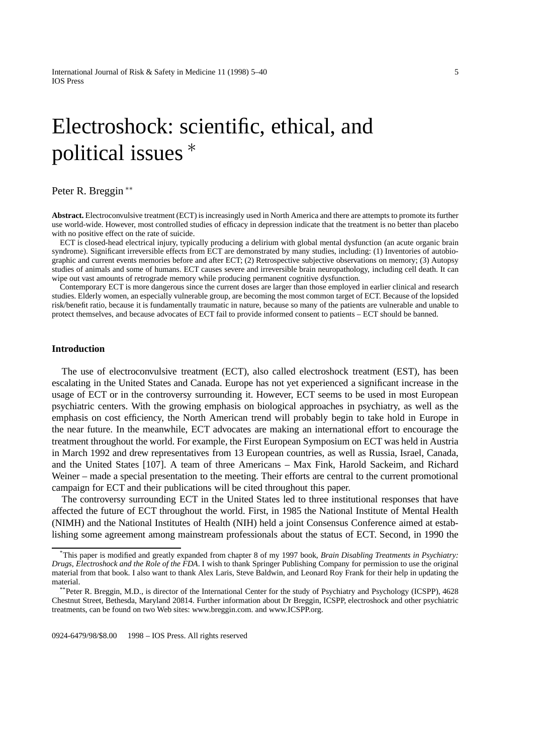# Electroshock: scientific, ethical, and political issues ∗

Peter R. Breggin ∗∗

**Abstract.** Electroconvulsive treatment (ECT) is increasingly used in North America and there are attempts to promote its further use world-wide. However, most controlled studies of efficacy in depression indicate that the treatment is no better than placebo with no positive effect on the rate of suicide.

ECT is closed-head electrical injury, typically producing a delirium with global mental dysfunction (an acute organic brain syndrome). Significant irreversible effects from ECT are demonstrated by many studies, including: (1) Inventories of autobiographic and current events memories before and after ECT; (2) Retrospective subjective observations on memory; (3) Autopsy studies of animals and some of humans. ECT causes severe and irreversible brain neuropathology, including cell death. It can wipe out vast amounts of retrograde memory while producing permanent cognitive dysfunction.

Contemporary ECT is more dangerous since the current doses are larger than those employed in earlier clinical and research studies. Elderly women, an especially vulnerable group, are becoming the most common target of ECT. Because of the lopsided risk/benefit ratio, because it is fundamentally traumatic in nature, because so many of the patients are vulnerable and unable to protect themselves, and because advocates of ECT fail to provide informed consent to patients – ECT should be banned.

# **Introduction**

The use of electroconvulsive treatment (ECT), also called electroshock treatment (EST), has been escalating in the United States and Canada. Europe has not yet experienced a significant increase in the usage of ECT or in the controversy surrounding it. However, ECT seems to be used in most European psychiatric centers. With the growing emphasis on biological approaches in psychiatry, as well as the emphasis on cost efficiency, the North American trend will probably begin to take hold in Europe in the near future. In the meanwhile, ECT advocates are making an international effort to encourage the treatment throughout the world. For example, the First European Symposium on ECT was held in Austria in March 1992 and drew representatives from 13 European countries, as well as Russia, Israel, Canada, and the United States [107]. A team of three Americans – Max Fink, Harold Sackeim, and Richard Weiner – made a special presentation to the meeting. Their efforts are central to the current promotional campaign for ECT and their publications will be cited throughout this paper.

The controversy surrounding ECT in the United States led to three institutional responses that have affected the future of ECT throughout the world. First, in 1985 the National Institute of Mental Health (NIMH) and the National Institutes of Health (NIH) held a joint Consensus Conference aimed at establishing some agreement among mainstream professionals about the status of ECT. Second, in 1990 the

<sup>\*</sup> This paper is modified and greatly expanded from chapter 8 of my 1997 book, *Brain Disabling Treatments in Psychiatry: Drugs, Electroshock and the Role of the FDA*. I wish to thank Springer Publishing Company for permission to use the original material from that book. I also want to thank Alex Laris, Steve Baldwin, and Leonard Roy Frank for their help in updating the material.

<sup>\*\*</sup>Peter R. Breggin, M.D., is director of the International Center for the study of Psychiatry and Psychology (ICSPP), 4628 Chestnut Street, Bethesda, Maryland 20814. Further information about Dr Breggin, ICSPP, electroshock and other psychiatric treatments, can be found on two Web sites: www.breggin.com. and www.ICSPP.org.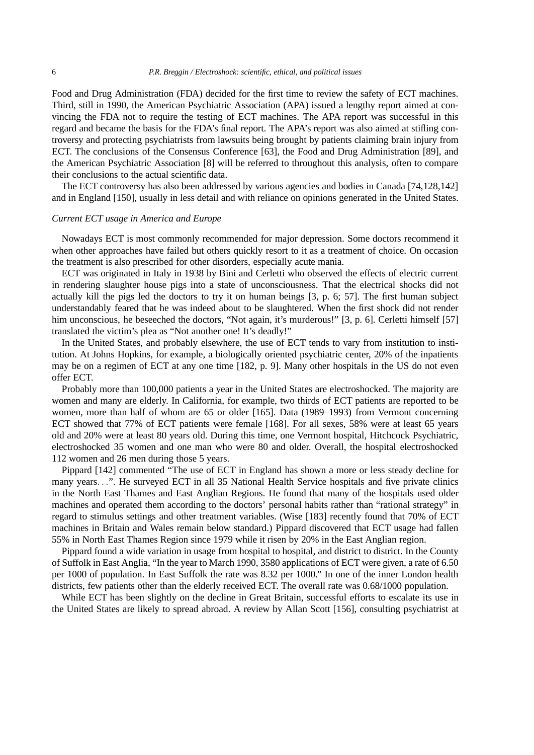Food and Drug Administration (FDA) decided for the first time to review the safety of ECT machines. Third, still in 1990, the American Psychiatric Association (APA) issued a lengthy report aimed at convincing the FDA not to require the testing of ECT machines. The APA report was successful in this regard and became the basis for the FDA's final report. The APA's report was also aimed at stifling controversy and protecting psychiatrists from lawsuits being brought by patients claiming brain injury from ECT. The conclusions of the Consensus Conference [63], the Food and Drug Administration [89], and the American Psychiatric Association [8] will be referred to throughout this analysis, often to compare their conclusions to the actual scientific data.

The ECT controversy has also been addressed by various agencies and bodies in Canada [74,128,142] and in England [150], usually in less detail and with reliance on opinions generated in the United States.

## *Current ECT usage in America and Europe*

Nowadays ECT is most commonly recommended for major depression. Some doctors recommend it when other approaches have failed but others quickly resort to it as a treatment of choice. On occasion the treatment is also prescribed for other disorders, especially acute mania.

ECT was originated in Italy in 1938 by Bini and Cerletti who observed the effects of electric current in rendering slaughter house pigs into a state of unconsciousness. That the electrical shocks did not actually kill the pigs led the doctors to try it on human beings [3, p. 6; 57]. The first human subject understandably feared that he was indeed about to be slaughtered. When the first shock did not render him unconscious, he beseeched the doctors, "Not again, it's murderous!" [3, p. 6]. Cerletti himself [57] translated the victim's plea as "Not another one! It's deadly!"

In the United States, and probably elsewhere, the use of ECT tends to vary from institution to institution. At Johns Hopkins, for example, a biologically oriented psychiatric center, 20% of the inpatients may be on a regimen of ECT at any one time [182, p. 9]. Many other hospitals in the US do not even offer ECT.

Probably more than 100,000 patients a year in the United States are electroshocked. The majority are women and many are elderly. In California, for example, two thirds of ECT patients are reported to be women, more than half of whom are 65 or older [165]. Data (1989–1993) from Vermont concerning ECT showed that 77% of ECT patients were female [168]. For all sexes, 58% were at least 65 years old and 20% were at least 80 years old. During this time, one Vermont hospital, Hitchcock Psychiatric, electroshocked 35 women and one man who were 80 and older. Overall, the hospital electroshocked 112 women and 26 men during those 5 years.

Pippard [142] commented "The use of ECT in England has shown a more or less steady decline for many years...". He surveyed ECT in all 35 National Health Service hospitals and five private clinics in the North East Thames and East Anglian Regions. He found that many of the hospitals used older machines and operated them according to the doctors' personal habits rather than "rational strategy" in regard to stimulus settings and other treatment variables. (Wise [183] recently found that 70% of ECT machines in Britain and Wales remain below standard.) Pippard discovered that ECT usage had fallen 55% in North East Thames Region since 1979 while it risen by 20% in the East Anglian region.

Pippard found a wide variation in usage from hospital to hospital, and district to district. In the County of Suffolk in East Anglia, "In the year to March 1990, 3580 applications of ECT were given, a rate of 6.50 per 1000 of population. In East Suffolk the rate was 8.32 per 1000." In one of the inner London health districts, few patients other than the elderly received ECT. The overall rate was 0.68/1000 population.

While ECT has been slightly on the decline in Great Britain, successful efforts to escalate its use in the United States are likely to spread abroad. A review by Allan Scott [156], consulting psychiatrist at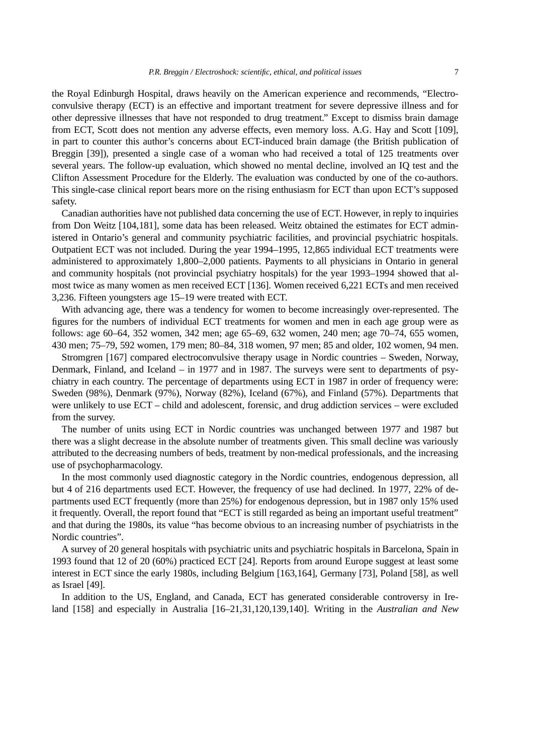the Royal Edinburgh Hospital, draws heavily on the American experience and recommends, "Electroconvulsive therapy (ECT) is an effective and important treatment for severe depressive illness and for other depressive illnesses that have not responded to drug treatment." Except to dismiss brain damage from ECT, Scott does not mention any adverse effects, even memory loss. A.G. Hay and Scott [109], in part to counter this author's concerns about ECT-induced brain damage (the British publication of Breggin [39]), presented a single case of a woman who had received a total of 125 treatments over several years. The follow-up evaluation, which showed no mental decline, involved an IQ test and the Clifton Assessment Procedure for the Elderly. The evaluation was conducted by one of the co-authors. This single-case clinical report bears more on the rising enthusiasm for ECT than upon ECT's supposed safety.

Canadian authorities have not published data concerning the use of ECT. However, in reply to inquiries from Don Weitz [104,181], some data has been released. Weitz obtained the estimates for ECT administered in Ontario's general and community psychiatric facilities, and provincial psychiatric hospitals. Outpatient ECT was not included. During the year 1994–1995, 12,865 individual ECT treatments were administered to approximately 1,800–2,000 patients. Payments to all physicians in Ontario in general and community hospitals (not provincial psychiatry hospitals) for the year 1993–1994 showed that almost twice as many women as men received ECT [136]. Women received 6,221 ECTs and men received 3,236. Fifteen youngsters age 15–19 were treated with ECT.

With advancing age, there was a tendency for women to become increasingly over-represented. The figures for the numbers of individual ECT treatments for women and men in each age group were as follows: age 60–64, 352 women, 342 men; age 65–69, 632 women, 240 men; age 70–74, 655 women, 430 men; 75–79, 592 women, 179 men; 80–84, 318 women, 97 men; 85 and older, 102 women, 94 men.

Stromgren [167] compared electroconvulsive therapy usage in Nordic countries – Sweden, Norway, Denmark, Finland, and Iceland – in 1977 and in 1987. The surveys were sent to departments of psychiatry in each country. The percentage of departments using ECT in 1987 in order of frequency were: Sweden (98%), Denmark (97%), Norway (82%), Iceland (67%), and Finland (57%). Departments that were unlikely to use ECT – child and adolescent, forensic, and drug addiction services – were excluded from the survey.

The number of units using ECT in Nordic countries was unchanged between 1977 and 1987 but there was a slight decrease in the absolute number of treatments given. This small decline was variously attributed to the decreasing numbers of beds, treatment by non-medical professionals, and the increasing use of psychopharmacology.

In the most commonly used diagnostic category in the Nordic countries, endogenous depression, all but 4 of 216 departments used ECT. However, the frequency of use had declined. In 1977, 22% of departments used ECT frequently (more than 25%) for endogenous depression, but in 1987 only 15% used it frequently. Overall, the report found that "ECT is still regarded as being an important useful treatment" and that during the 1980s, its value "has become obvious to an increasing number of psychiatrists in the Nordic countries".

A survey of 20 general hospitals with psychiatric units and psychiatric hospitals in Barcelona, Spain in 1993 found that 12 of 20 (60%) practiced ECT [24]. Reports from around Europe suggest at least some interest in ECT since the early 1980s, including Belgium [163,164], Germany [73], Poland [58], as well as Israel [49].

In addition to the US, England, and Canada, ECT has generated considerable controversy in Ireland [158] and especially in Australia [16–21,31,120,139,140]. Writing in the *Australian and New*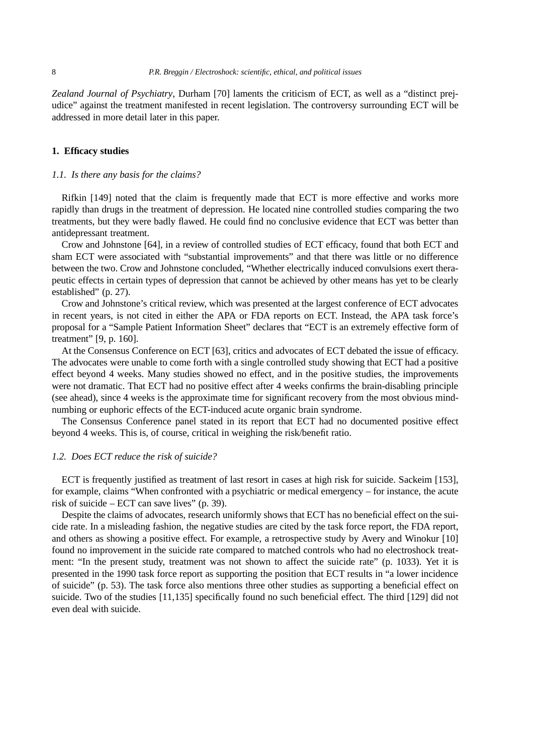*Zealand Journal of Psychiatry*, Durham [70] laments the criticism of ECT, as well as a "distinct prejudice" against the treatment manifested in recent legislation. The controversy surrounding ECT will be addressed in more detail later in this paper.

# **1. Efficacy studies**

## *1.1. Is there any basis for the claims?*

Rifkin [149] noted that the claim is frequently made that ECT is more effective and works more rapidly than drugs in the treatment of depression. He located nine controlled studies comparing the two treatments, but they were badly flawed. He could find no conclusive evidence that ECT was better than antidepressant treatment.

Crow and Johnstone [64], in a review of controlled studies of ECT efficacy, found that both ECT and sham ECT were associated with "substantial improvements" and that there was little or no difference between the two. Crow and Johnstone concluded, "Whether electrically induced convulsions exert therapeutic effects in certain types of depression that cannot be achieved by other means has yet to be clearly established" (p. 27).

Crow and Johnstone's critical review, which was presented at the largest conference of ECT advocates in recent years, is not cited in either the APA or FDA reports on ECT. Instead, the APA task force's proposal for a "Sample Patient Information Sheet" declares that "ECT is an extremely effective form of treatment" [9, p. 160].

At the Consensus Conference on ECT [63], critics and advocates of ECT debated the issue of efficacy. The advocates were unable to come forth with a single controlled study showing that ECT had a positive effect beyond 4 weeks. Many studies showed no effect, and in the positive studies, the improvements were not dramatic. That ECT had no positive effect after 4 weeks confirms the brain-disabling principle (see ahead), since 4 weeks is the approximate time for significant recovery from the most obvious mindnumbing or euphoric effects of the ECT-induced acute organic brain syndrome.

The Consensus Conference panel stated in its report that ECT had no documented positive effect beyond 4 weeks. This is, of course, critical in weighing the risk/benefit ratio.

#### *1.2. Does ECT reduce the risk of suicide?*

ECT is frequently justified as treatment of last resort in cases at high risk for suicide. Sackeim [153], for example, claims "When confronted with a psychiatric or medical emergency – for instance, the acute risk of suicide – ECT can save lives" (p. 39).

Despite the claims of advocates, research uniformly shows that ECT has no beneficial effect on the suicide rate. In a misleading fashion, the negative studies are cited by the task force report, the FDA report, and others as showing a positive effect. For example, a retrospective study by Avery and Winokur [10] found no improvement in the suicide rate compared to matched controls who had no electroshock treatment: "In the present study, treatment was not shown to affect the suicide rate" (p. 1033). Yet it is presented in the 1990 task force report as supporting the position that ECT results in "a lower incidence of suicide" (p. 53). The task force also mentions three other studies as supporting a beneficial effect on suicide. Two of the studies [11,135] specifically found no such beneficial effect. The third [129] did not even deal with suicide.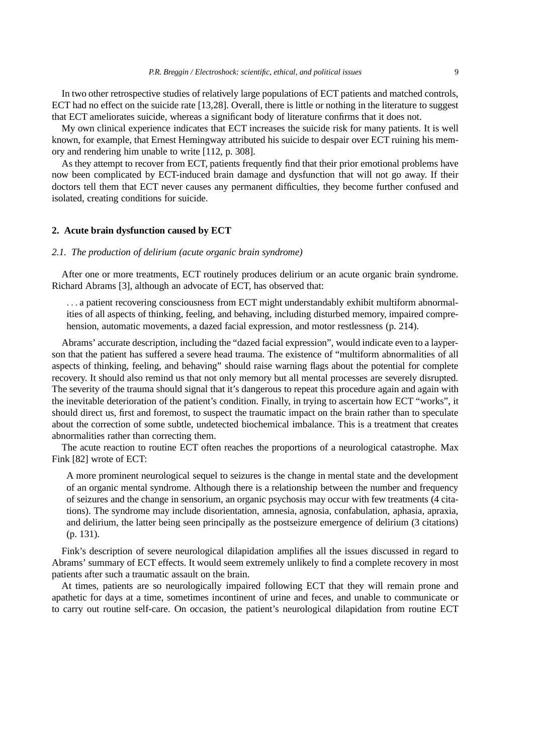In two other retrospective studies of relatively large populations of ECT patients and matched controls, ECT had no effect on the suicide rate [13,28]. Overall, there is little or nothing in the literature to suggest that ECT ameliorates suicide, whereas a significant body of literature confirms that it does not.

My own clinical experience indicates that ECT increases the suicide risk for many patients. It is well known, for example, that Ernest Hemingway attributed his suicide to despair over ECT ruining his memory and rendering him unable to write [112, p. 308].

As they attempt to recover from ECT, patients frequently find that their prior emotional problems have now been complicated by ECT-induced brain damage and dysfunction that will not go away. If their doctors tell them that ECT never causes any permanent difficulties, they become further confused and isolated, creating conditions for suicide.

#### **2. Acute brain dysfunction caused by ECT**

## *2.1. The production of delirium (acute organic brain syndrome)*

After one or more treatments, ECT routinely produces delirium or an acute organic brain syndrome. Richard Abrams [3], although an advocate of ECT, has observed that:

... a patient recovering consciousness from ECT might understandably exhibit multiform abnormalities of all aspects of thinking, feeling, and behaving, including disturbed memory, impaired comprehension, automatic movements, a dazed facial expression, and motor restlessness (p. 214).

Abrams' accurate description, including the "dazed facial expression", would indicate even to a layperson that the patient has suffered a severe head trauma. The existence of "multiform abnormalities of all aspects of thinking, feeling, and behaving" should raise warning flags about the potential for complete recovery. It should also remind us that not only memory but all mental processes are severely disrupted. The severity of the trauma should signal that it's dangerous to repeat this procedure again and again with the inevitable deterioration of the patient's condition. Finally, in trying to ascertain how ECT "works", it should direct us, first and foremost, to suspect the traumatic impact on the brain rather than to speculate about the correction of some subtle, undetected biochemical imbalance. This is a treatment that creates abnormalities rather than correcting them.

The acute reaction to routine ECT often reaches the proportions of a neurological catastrophe. Max Fink [82] wrote of ECT:

A more prominent neurological sequel to seizures is the change in mental state and the development of an organic mental syndrome. Although there is a relationship between the number and frequency of seizures and the change in sensorium, an organic psychosis may occur with few treatments (4 citations). The syndrome may include disorientation, amnesia, agnosia, confabulation, aphasia, apraxia, and delirium, the latter being seen principally as the postseizure emergence of delirium (3 citations) (p. 131).

Fink's description of severe neurological dilapidation amplifies all the issues discussed in regard to Abrams' summary of ECT effects. It would seem extremely unlikely to find a complete recovery in most patients after such a traumatic assault on the brain.

At times, patients are so neurologically impaired following ECT that they will remain prone and apathetic for days at a time, sometimes incontinent of urine and feces, and unable to communicate or to carry out routine self-care. On occasion, the patient's neurological dilapidation from routine ECT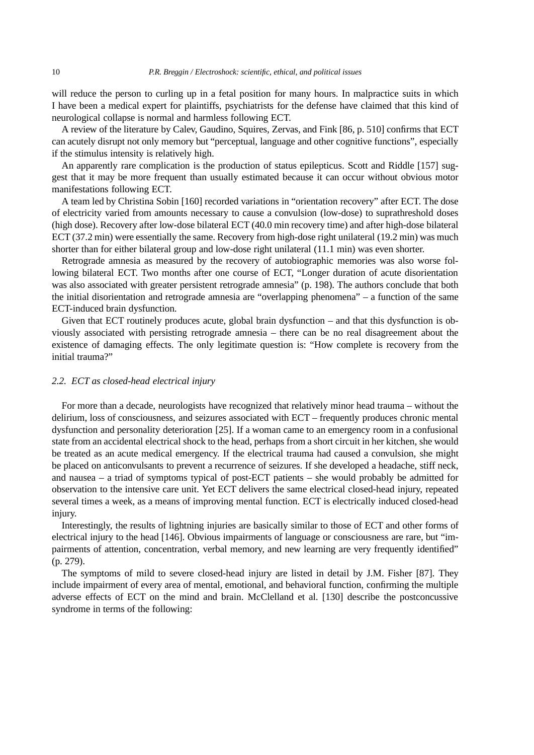will reduce the person to curling up in a fetal position for many hours. In malpractice suits in which I have been a medical expert for plaintiffs, psychiatrists for the defense have claimed that this kind of neurological collapse is normal and harmless following ECT.

A review of the literature by Calev, Gaudino, Squires, Zervas, and Fink [86, p. 510] confirms that ECT can acutely disrupt not only memory but "perceptual, language and other cognitive functions", especially if the stimulus intensity is relatively high.

An apparently rare complication is the production of status epilepticus. Scott and Riddle [157] suggest that it may be more frequent than usually estimated because it can occur without obvious motor manifestations following ECT.

A team led by Christina Sobin [160] recorded variations in "orientation recovery" after ECT. The dose of electricity varied from amounts necessary to cause a convulsion (low-dose) to suprathreshold doses (high dose). Recovery after low-dose bilateral ECT (40.0 min recovery time) and after high-dose bilateral ECT (37.2 min) were essentially the same. Recovery from high-dose right unilateral (19.2 min) was much shorter than for either bilateral group and low-dose right unilateral (11.1 min) was even shorter.

Retrograde amnesia as measured by the recovery of autobiographic memories was also worse following bilateral ECT. Two months after one course of ECT, "Longer duration of acute disorientation was also associated with greater persistent retrograde amnesia" (p. 198). The authors conclude that both the initial disorientation and retrograde amnesia are "overlapping phenomena" – a function of the same ECT-induced brain dysfunction.

Given that ECT routinely produces acute, global brain dysfunction – and that this dysfunction is obviously associated with persisting retrograde amnesia – there can be no real disagreement about the existence of damaging effects. The only legitimate question is: "How complete is recovery from the initial trauma?"

# *2.2. ECT as closed-head electrical injury*

For more than a decade, neurologists have recognized that relatively minor head trauma – without the delirium, loss of consciousness, and seizures associated with ECT – frequently produces chronic mental dysfunction and personality deterioration [25]. If a woman came to an emergency room in a confusional state from an accidental electrical shock to the head, perhaps from a short circuit in her kitchen, she would be treated as an acute medical emergency. If the electrical trauma had caused a convulsion, she might be placed on anticonvulsants to prevent a recurrence of seizures. If she developed a headache, stiff neck, and nausea – a triad of symptoms typical of post-ECT patients – she would probably be admitted for observation to the intensive care unit. Yet ECT delivers the same electrical closed-head injury, repeated several times a week, as a means of improving mental function. ECT is electrically induced closed-head injury.

Interestingly, the results of lightning injuries are basically similar to those of ECT and other forms of electrical injury to the head [146]. Obvious impairments of language or consciousness are rare, but "impairments of attention, concentration, verbal memory, and new learning are very frequently identified" (p. 279).

The symptoms of mild to severe closed-head injury are listed in detail by J.M. Fisher [87]. They include impairment of every area of mental, emotional, and behavioral function, confirming the multiple adverse effects of ECT on the mind and brain. McClelland et al. [130] describe the postconcussive syndrome in terms of the following: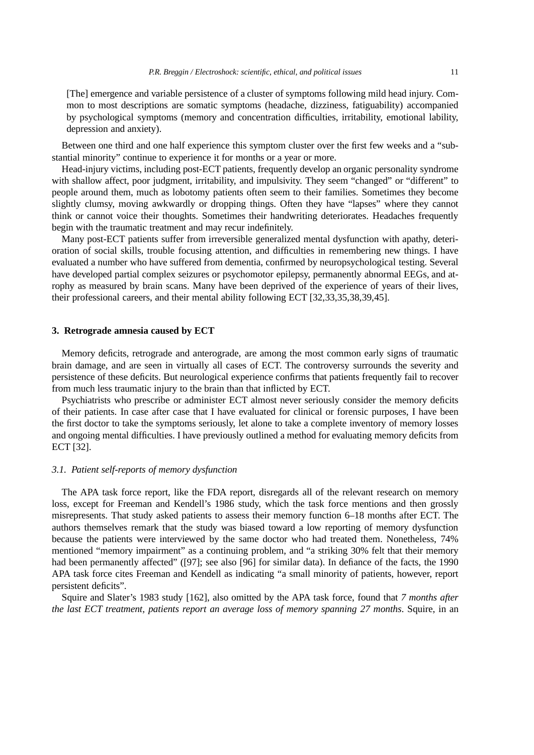[The] emergence and variable persistence of a cluster of symptoms following mild head injury. Common to most descriptions are somatic symptoms (headache, dizziness, fatiguability) accompanied by psychological symptoms (memory and concentration difficulties, irritability, emotional lability, depression and anxiety).

Between one third and one half experience this symptom cluster over the first few weeks and a "substantial minority" continue to experience it for months or a year or more.

Head-injury victims, including post-ECT patients, frequently develop an organic personality syndrome with shallow affect, poor judgment, irritability, and impulsivity. They seem "changed" or "different" to people around them, much as lobotomy patients often seem to their families. Sometimes they become slightly clumsy, moving awkwardly or dropping things. Often they have "lapses" where they cannot think or cannot voice their thoughts. Sometimes their handwriting deteriorates. Headaches frequently begin with the traumatic treatment and may recur indefinitely.

Many post-ECT patients suffer from irreversible generalized mental dysfunction with apathy, deterioration of social skills, trouble focusing attention, and difficulties in remembering new things. I have evaluated a number who have suffered from dementia, confirmed by neuropsychological testing. Several have developed partial complex seizures or psychomotor epilepsy, permanently abnormal EEGs, and atrophy as measured by brain scans. Many have been deprived of the experience of years of their lives, their professional careers, and their mental ability following ECT [32,33,35,38,39,45].

### **3. Retrograde amnesia caused by ECT**

Memory deficits, retrograde and anterograde, are among the most common early signs of traumatic brain damage, and are seen in virtually all cases of ECT. The controversy surrounds the severity and persistence of these deficits. But neurological experience confirms that patients frequently fail to recover from much less traumatic injury to the brain than that inflicted by ECT.

Psychiatrists who prescribe or administer ECT almost never seriously consider the memory deficits of their patients. In case after case that I have evaluated for clinical or forensic purposes, I have been the first doctor to take the symptoms seriously, let alone to take a complete inventory of memory losses and ongoing mental difficulties. I have previously outlined a method for evaluating memory deficits from ECT [32].

## *3.1. Patient self-reports of memory dysfunction*

The APA task force report, like the FDA report, disregards all of the relevant research on memory loss, except for Freeman and Kendell's 1986 study, which the task force mentions and then grossly misrepresents. That study asked patients to assess their memory function 6–18 months after ECT. The authors themselves remark that the study was biased toward a low reporting of memory dysfunction because the patients were interviewed by the same doctor who had treated them. Nonetheless, 74% mentioned "memory impairment" as a continuing problem, and "a striking 30% felt that their memory had been permanently affected" ([97]; see also [96] for similar data). In defiance of the facts, the 1990 APA task force cites Freeman and Kendell as indicating "a small minority of patients, however, report persistent deficits".

Squire and Slater's 1983 study [162], also omitted by the APA task force, found that *7 months after the last ECT treatment, patients report an average loss of memory spanning 27 months*. Squire, in an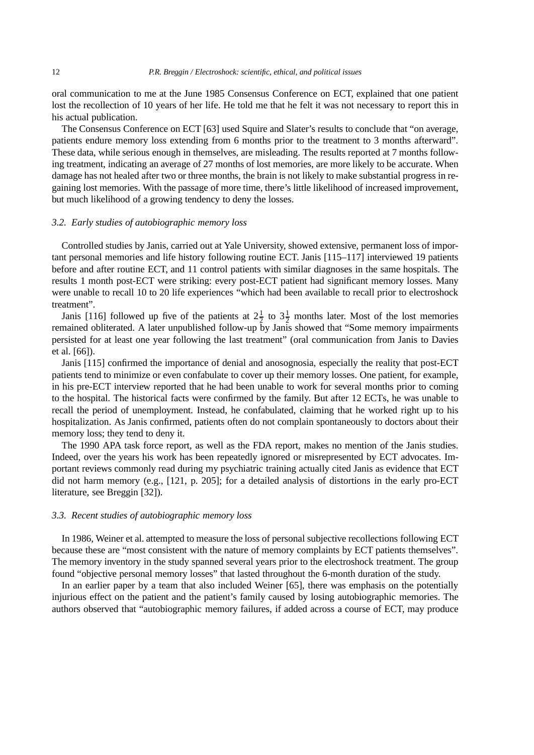oral communication to me at the June 1985 Consensus Conference on ECT, explained that one patient lost the recollection of 10 years of her life. He told me that he felt it was not necessary to report this in his actual publication.

The Consensus Conference on ECT [63] used Squire and Slater's results to conclude that "on average, patients endure memory loss extending from 6 months prior to the treatment to 3 months afterward". These data, while serious enough in themselves, are misleading. The results reported at 7 months following treatment, indicating an average of 27 months of lost memories, are more likely to be accurate. When damage has not healed after two or three months, the brain is not likely to make substantial progress in regaining lost memories. With the passage of more time, there's little likelihood of increased improvement, but much likelihood of a growing tendency to deny the losses.

#### *3.2. Early studies of autobiographic memory loss*

Controlled studies by Janis, carried out at Yale University, showed extensive, permanent loss of important personal memories and life history following routine ECT. Janis [115–117] interviewed 19 patients before and after routine ECT, and 11 control patients with similar diagnoses in the same hospitals. The results 1 month post-ECT were striking: every post-ECT patient had significant memory losses. Many were unable to recall 10 to 20 life experiences "which had been available to recall prior to electroshock treatment".

Janis [116] followed up five of the patients at  $2\frac{1}{2}$  to  $3\frac{1}{2}$  months later. Most of the lost memories remained obliterated. A later unpublished follow-up by Janis showed that "Some memory impairments persisted for at least one year following the last treatment" (oral communication from Janis to Davies et al. [66]).

Janis [115] confirmed the importance of denial and anosognosia, especially the reality that post-ECT patients tend to minimize or even confabulate to cover up their memory losses. One patient, for example, in his pre-ECT interview reported that he had been unable to work for several months prior to coming to the hospital. The historical facts were confirmed by the family. But after 12 ECTs, he was unable to recall the period of unemployment. Instead, he confabulated, claiming that he worked right up to his hospitalization. As Janis confirmed, patients often do not complain spontaneously to doctors about their memory loss; they tend to deny it.

The 1990 APA task force report, as well as the FDA report, makes no mention of the Janis studies. Indeed, over the years his work has been repeatedly ignored or misrepresented by ECT advocates. Important reviews commonly read during my psychiatric training actually cited Janis as evidence that ECT did not harm memory (e.g., [121, p. 205]; for a detailed analysis of distortions in the early pro-ECT literature, see Breggin [32]).

#### *3.3. Recent studies of autobiographic memory loss*

In 1986, Weiner et al. attempted to measure the loss of personal subjective recollections following ECT because these are "most consistent with the nature of memory complaints by ECT patients themselves". The memory inventory in the study spanned several years prior to the electroshock treatment. The group found "objective personal memory losses" that lasted throughout the 6-month duration of the study.

In an earlier paper by a team that also included Weiner [65], there was emphasis on the potentially injurious effect on the patient and the patient's family caused by losing autobiographic memories. The authors observed that "autobiographic memory failures, if added across a course of ECT, may produce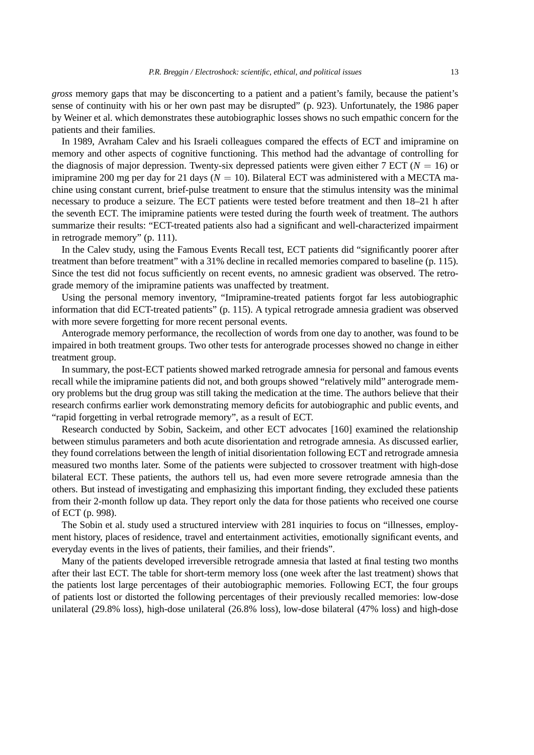*gross* memory gaps that may be disconcerting to a patient and a patient's family, because the patient's sense of continuity with his or her own past may be disrupted" (p. 923). Unfortunately, the 1986 paper by Weiner et al. which demonstrates these autobiographic losses shows no such empathic concern for the patients and their families.

In 1989, Avraham Calev and his Israeli colleagues compared the effects of ECT and imipramine on memory and other aspects of cognitive functioning. This method had the advantage of controlling for the diagnosis of major depression. Twenty-six depressed patients were given either  $7$  ECT ( $N = 16$ ) or imipramine 200 mg per day for 21 days ( $N = 10$ ). Bilateral ECT was administered with a MECTA machine using constant current, brief-pulse treatment to ensure that the stimulus intensity was the minimal necessary to produce a seizure. The ECT patients were tested before treatment and then 18–21 h after the seventh ECT. The imipramine patients were tested during the fourth week of treatment. The authors summarize their results: "ECT-treated patients also had a significant and well-characterized impairment in retrograde memory" (p. 111).

In the Calev study, using the Famous Events Recall test, ECT patients did "significantly poorer after treatment than before treatment" with a 31% decline in recalled memories compared to baseline (p. 115). Since the test did not focus sufficiently on recent events, no amnesic gradient was observed. The retrograde memory of the imipramine patients was unaffected by treatment.

Using the personal memory inventory, "Imipramine-treated patients forgot far less autobiographic information that did ECT-treated patients" (p. 115). A typical retrograde amnesia gradient was observed with more severe forgetting for more recent personal events.

Anterograde memory performance, the recollection of words from one day to another, was found to be impaired in both treatment groups. Two other tests for anterograde processes showed no change in either treatment group.

In summary, the post-ECT patients showed marked retrograde amnesia for personal and famous events recall while the imipramine patients did not, and both groups showed "relatively mild" anterograde memory problems but the drug group was still taking the medication at the time. The authors believe that their research confirms earlier work demonstrating memory deficits for autobiographic and public events, and "rapid forgetting in verbal retrograde memory", as a result of ECT.

Research conducted by Sobin, Sackeim, and other ECT advocates [160] examined the relationship between stimulus parameters and both acute disorientation and retrograde amnesia. As discussed earlier, they found correlations between the length of initial disorientation following ECT and retrograde amnesia measured two months later. Some of the patients were subjected to crossover treatment with high-dose bilateral ECT. These patients, the authors tell us, had even more severe retrograde amnesia than the others. But instead of investigating and emphasizing this important finding, they excluded these patients from their 2-month follow up data. They report only the data for those patients who received one course of ECT (p. 998).

The Sobin et al. study used a structured interview with 281 inquiries to focus on "illnesses, employment history, places of residence, travel and entertainment activities, emotionally significant events, and everyday events in the lives of patients, their families, and their friends".

Many of the patients developed irreversible retrograde amnesia that lasted at final testing two months after their last ECT. The table for short-term memory loss (one week after the last treatment) shows that the patients lost large percentages of their autobiographic memories. Following ECT, the four groups of patients lost or distorted the following percentages of their previously recalled memories: low-dose unilateral (29.8% loss), high-dose unilateral (26.8% loss), low-dose bilateral (47% loss) and high-dose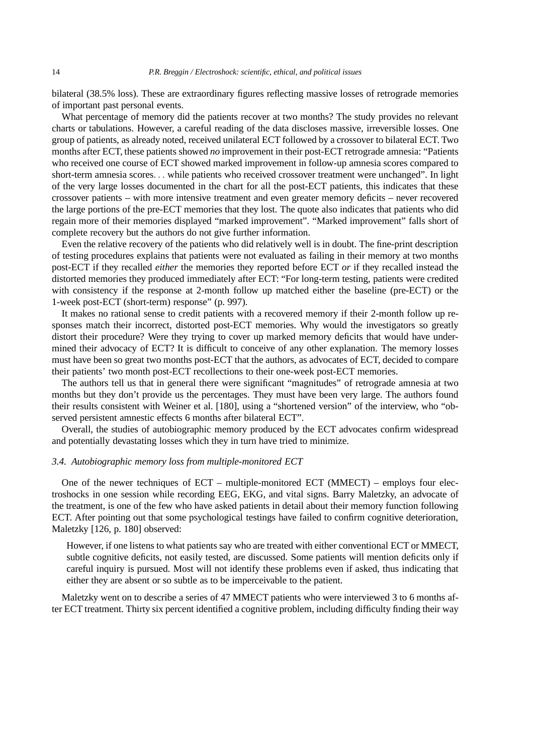bilateral (38.5% loss). These are extraordinary figures reflecting massive losses of retrograde memories of important past personal events.

What percentage of memory did the patients recover at two months? The study provides no relevant charts or tabulations. However, a careful reading of the data discloses massive, irreversible losses. One group of patients, as already noted, received unilateral ECT followed by a crossover to bilateral ECT. Two months after ECT, these patients showed *no* improvement in their post-ECT retrograde amnesia: "Patients who received one course of ECT showed marked improvement in follow-up amnesia scores compared to short-term amnesia scores... while patients who received crossover treatment were unchanged". In light of the very large losses documented in the chart for all the post-ECT patients, this indicates that these crossover patients – with more intensive treatment and even greater memory deficits – never recovered the large portions of the pre-ECT memories that they lost. The quote also indicates that patients who did regain more of their memories displayed "marked improvement". "Marked improvement" falls short of complete recovery but the authors do not give further information.

Even the relative recovery of the patients who did relatively well is in doubt. The fine-print description of testing procedures explains that patients were not evaluated as failing in their memory at two months post-ECT if they recalled *either* the memories they reported before ECT *or* if they recalled instead the distorted memories they produced immediately after ECT: "For long-term testing, patients were credited with consistency if the response at 2-month follow up matched either the baseline (pre-ECT) or the 1-week post-ECT (short-term) response" (p. 997).

It makes no rational sense to credit patients with a recovered memory if their 2-month follow up responses match their incorrect, distorted post-ECT memories. Why would the investigators so greatly distort their procedure? Were they trying to cover up marked memory deficits that would have undermined their advocacy of ECT? It is difficult to conceive of any other explanation. The memory losses must have been so great two months post-ECT that the authors, as advocates of ECT, decided to compare their patients' two month post-ECT recollections to their one-week post-ECT memories.

The authors tell us that in general there were significant "magnitudes" of retrograde amnesia at two months but they don't provide us the percentages. They must have been very large. The authors found their results consistent with Weiner et al. [180], using a "shortened version" of the interview, who "observed persistent amnestic effects 6 months after bilateral ECT".

Overall, the studies of autobiographic memory produced by the ECT advocates confirm widespread and potentially devastating losses which they in turn have tried to minimize.

## *3.4. Autobiographic memory loss from multiple-monitored ECT*

One of the newer techniques of ECT – multiple-monitored ECT (MMECT) – employs four electroshocks in one session while recording EEG, EKG, and vital signs. Barry Maletzky, an advocate of the treatment, is one of the few who have asked patients in detail about their memory function following ECT. After pointing out that some psychological testings have failed to confirm cognitive deterioration, Maletzky [126, p. 180] observed:

However, if one listens to what patients say who are treated with either conventional ECT or MMECT, subtle cognitive deficits, not easily tested, are discussed. Some patients will mention deficits only if careful inquiry is pursued. Most will not identify these problems even if asked, thus indicating that either they are absent or so subtle as to be imperceivable to the patient.

Maletzky went on to describe a series of 47 MMECT patients who were interviewed 3 to 6 months after ECT treatment. Thirty six percent identified a cognitive problem, including difficulty finding their way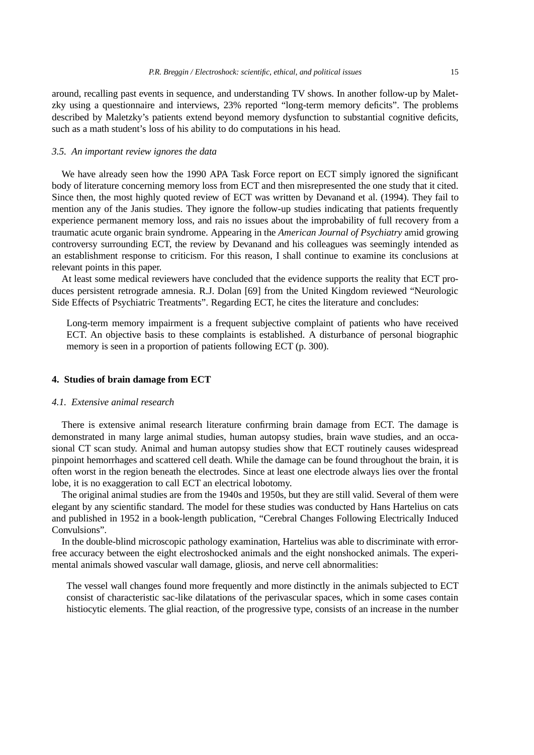around, recalling past events in sequence, and understanding TV shows. In another follow-up by Maletzky using a questionnaire and interviews, 23% reported "long-term memory deficits". The problems described by Maletzky's patients extend beyond memory dysfunction to substantial cognitive deficits, such as a math student's loss of his ability to do computations in his head.

## *3.5. An important review ignores the data*

We have already seen how the 1990 APA Task Force report on ECT simply ignored the significant body of literature concerning memory loss from ECT and then misrepresented the one study that it cited. Since then, the most highly quoted review of ECT was written by Devanand et al. (1994). They fail to mention any of the Janis studies. They ignore the follow-up studies indicating that patients frequently experience permanent memory loss, and rais no issues about the improbability of full recovery from a traumatic acute organic brain syndrome. Appearing in the *American Journal of Psychiatry* amid growing controversy surrounding ECT, the review by Devanand and his colleagues was seemingly intended as an establishment response to criticism. For this reason, I shall continue to examine its conclusions at relevant points in this paper.

At least some medical reviewers have concluded that the evidence supports the reality that ECT produces persistent retrograde amnesia. R.J. Dolan [69] from the United Kingdom reviewed "Neurologic Side Effects of Psychiatric Treatments". Regarding ECT, he cites the literature and concludes:

Long-term memory impairment is a frequent subjective complaint of patients who have received ECT. An objective basis to these complaints is established. A disturbance of personal biographic memory is seen in a proportion of patients following ECT (p. 300).

# **4. Studies of brain damage from ECT**

## *4.1. Extensive animal research*

There is extensive animal research literature confirming brain damage from ECT. The damage is demonstrated in many large animal studies, human autopsy studies, brain wave studies, and an occasional CT scan study. Animal and human autopsy studies show that ECT routinely causes widespread pinpoint hemorrhages and scattered cell death. While the damage can be found throughout the brain, it is often worst in the region beneath the electrodes. Since at least one electrode always lies over the frontal lobe, it is no exaggeration to call ECT an electrical lobotomy.

The original animal studies are from the 1940s and 1950s, but they are still valid. Several of them were elegant by any scientific standard. The model for these studies was conducted by Hans Hartelius on cats and published in 1952 in a book-length publication, "Cerebral Changes Following Electrically Induced Convulsions".

In the double-blind microscopic pathology examination, Hartelius was able to discriminate with errorfree accuracy between the eight electroshocked animals and the eight nonshocked animals. The experimental animals showed vascular wall damage, gliosis, and nerve cell abnormalities:

The vessel wall changes found more frequently and more distinctly in the animals subjected to ECT consist of characteristic sac-like dilatations of the perivascular spaces, which in some cases contain histiocytic elements. The glial reaction, of the progressive type, consists of an increase in the number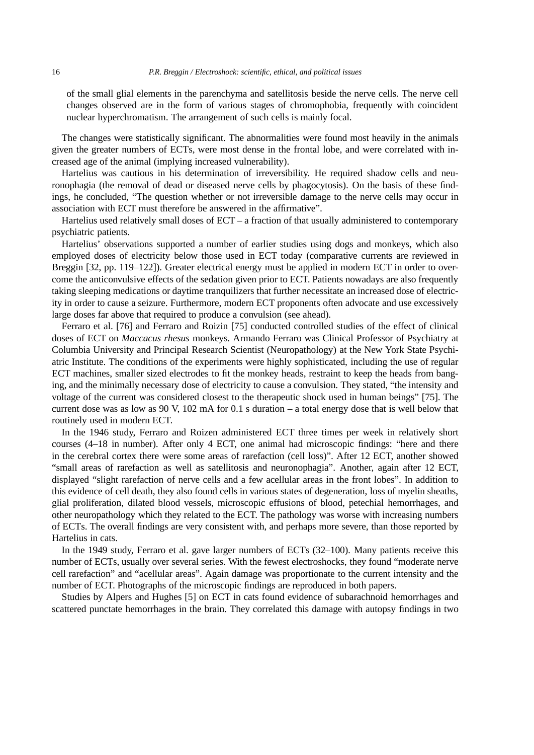of the small glial elements in the parenchyma and satellitosis beside the nerve cells. The nerve cell changes observed are in the form of various stages of chromophobia, frequently with coincident nuclear hyperchromatism. The arrangement of such cells is mainly focal.

The changes were statistically significant. The abnormalities were found most heavily in the animals given the greater numbers of ECTs, were most dense in the frontal lobe, and were correlated with increased age of the animal (implying increased vulnerability).

Hartelius was cautious in his determination of irreversibility. He required shadow cells and neuronophagia (the removal of dead or diseased nerve cells by phagocytosis). On the basis of these findings, he concluded, "The question whether or not irreversible damage to the nerve cells may occur in association with ECT must therefore be answered in the affirmative".

Hartelius used relatively small doses of ECT – a fraction of that usually administered to contemporary psychiatric patients.

Hartelius' observations supported a number of earlier studies using dogs and monkeys, which also employed doses of electricity below those used in ECT today (comparative currents are reviewed in Breggin [32, pp. 119–122]). Greater electrical energy must be applied in modern ECT in order to overcome the anticonvulsive effects of the sedation given prior to ECT. Patients nowadays are also frequently taking sleeping medications or daytime tranquilizers that further necessitate an increased dose of electricity in order to cause a seizure. Furthermore, modern ECT proponents often advocate and use excessively large doses far above that required to produce a convulsion (see ahead).

Ferraro et al. [76] and Ferraro and Roizin [75] conducted controlled studies of the effect of clinical doses of ECT on *Maccacus rhesus* monkeys. Armando Ferraro was Clinical Professor of Psychiatry at Columbia University and Principal Research Scientist (Neuropathology) at the New York State Psychiatric Institute. The conditions of the experiments were highly sophisticated, including the use of regular ECT machines, smaller sized electrodes to fit the monkey heads, restraint to keep the heads from banging, and the minimally necessary dose of electricity to cause a convulsion. They stated, "the intensity and voltage of the current was considered closest to the therapeutic shock used in human beings" [75]. The current dose was as low as 90 V, 102 mA for 0.1 s duration – a total energy dose that is well below that routinely used in modern ECT.

In the 1946 study, Ferraro and Roizen administered ECT three times per week in relatively short courses (4–18 in number). After only 4 ECT, one animal had microscopic findings: "here and there in the cerebral cortex there were some areas of rarefaction (cell loss)". After 12 ECT, another showed "small areas of rarefaction as well as satellitosis and neuronophagia". Another, again after 12 ECT, displayed "slight rarefaction of nerve cells and a few acellular areas in the front lobes". In addition to this evidence of cell death, they also found cells in various states of degeneration, loss of myelin sheaths, glial proliferation, dilated blood vessels, microscopic effusions of blood, petechial hemorrhages, and other neuropathology which they related to the ECT. The pathology was worse with increasing numbers of ECTs. The overall findings are very consistent with, and perhaps more severe, than those reported by Hartelius in cats.

In the 1949 study, Ferraro et al. gave larger numbers of ECTs (32–100). Many patients receive this number of ECTs, usually over several series. With the fewest electroshocks, they found "moderate nerve cell rarefaction" and "acellular areas". Again damage was proportionate to the current intensity and the number of ECT. Photographs of the microscopic findings are reproduced in both papers.

Studies by Alpers and Hughes [5] on ECT in cats found evidence of subarachnoid hemorrhages and scattered punctate hemorrhages in the brain. They correlated this damage with autopsy findings in two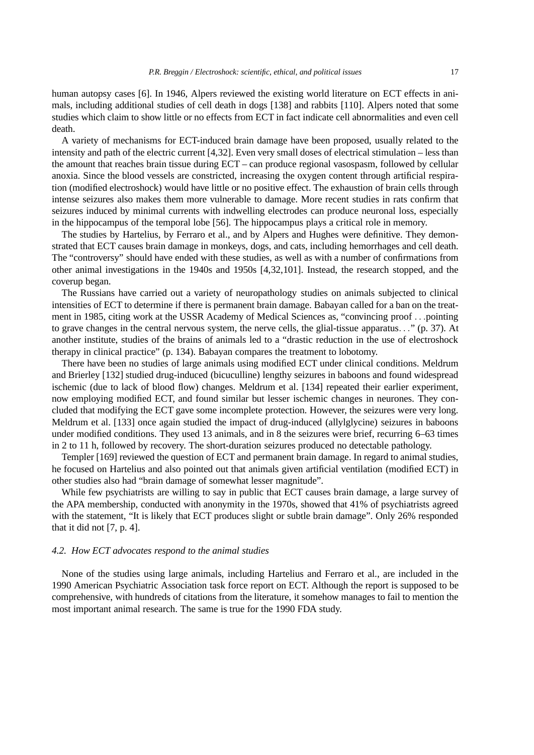human autopsy cases [6]. In 1946, Alpers reviewed the existing world literature on ECT effects in animals, including additional studies of cell death in dogs [138] and rabbits [110]. Alpers noted that some studies which claim to show little or no effects from ECT in fact indicate cell abnormalities and even cell death.

A variety of mechanisms for ECT-induced brain damage have been proposed, usually related to the intensity and path of the electric current [4,32]. Even very small doses of electrical stimulation – less than the amount that reaches brain tissue during ECT – can produce regional vasospasm, followed by cellular anoxia. Since the blood vessels are constricted, increasing the oxygen content through artificial respiration (modified electroshock) would have little or no positive effect. The exhaustion of brain cells through intense seizures also makes them more vulnerable to damage. More recent studies in rats confirm that seizures induced by minimal currents with indwelling electrodes can produce neuronal loss, especially in the hippocampus of the temporal lobe [56]. The hippocampus plays a critical role in memory.

The studies by Hartelius, by Ferraro et al., and by Alpers and Hughes were definitive. They demonstrated that ECT causes brain damage in monkeys, dogs, and cats, including hemorrhages and cell death. The "controversy" should have ended with these studies, as well as with a number of confirmations from other animal investigations in the 1940s and 1950s [4,32,101]. Instead, the research stopped, and the coverup began.

The Russians have carried out a variety of neuropathology studies on animals subjected to clinical intensities of ECT to determine if there is permanent brain damage. Babayan called for a ban on the treatment in 1985, citing work at the USSR Academy of Medical Sciences as, "convincing proof ...pointing to grave changes in the central nervous system, the nerve cells, the glial-tissue apparatus..." (p. 37). At another institute, studies of the brains of animals led to a "drastic reduction in the use of electroshock therapy in clinical practice" (p. 134). Babayan compares the treatment to lobotomy.

There have been no studies of large animals using modified ECT under clinical conditions. Meldrum and Brierley [132] studied drug-induced (bicuculline) lengthy seizures in baboons and found widespread ischemic (due to lack of blood flow) changes. Meldrum et al. [134] repeated their earlier experiment, now employing modified ECT, and found similar but lesser ischemic changes in neurones. They concluded that modifying the ECT gave some incomplete protection. However, the seizures were very long. Meldrum et al. [133] once again studied the impact of drug-induced (allylglycine) seizures in baboons under modified conditions. They used 13 animals, and in 8 the seizures were brief, recurring 6–63 times in 2 to 11 h, followed by recovery. The short-duration seizures produced no detectable pathology.

Templer [169] reviewed the question of ECT and permanent brain damage. In regard to animal studies, he focused on Hartelius and also pointed out that animals given artificial ventilation (modified ECT) in other studies also had "brain damage of somewhat lesser magnitude".

While few psychiatrists are willing to say in public that ECT causes brain damage, a large survey of the APA membership, conducted with anonymity in the 1970s, showed that 41% of psychiatrists agreed with the statement, "It is likely that ECT produces slight or subtle brain damage". Only 26% responded that it did not [7, p. 4].

## *4.2. How ECT advocates respond to the animal studies*

None of the studies using large animals, including Hartelius and Ferraro et al., are included in the 1990 American Psychiatric Association task force report on ECT. Although the report is supposed to be comprehensive, with hundreds of citations from the literature, it somehow manages to fail to mention the most important animal research. The same is true for the 1990 FDA study.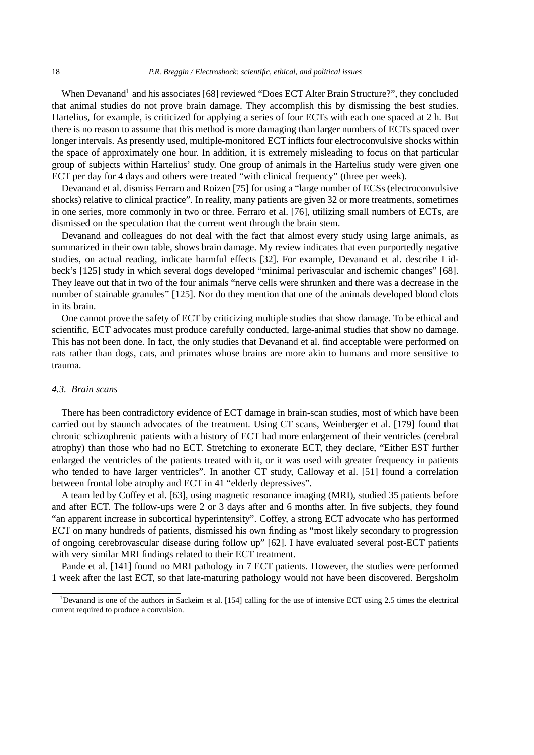When Devanand<sup>1</sup> and his associates [68] reviewed "Does ECT Alter Brain Structure?", they concluded that animal studies do not prove brain damage. They accomplish this by dismissing the best studies. Hartelius, for example, is criticized for applying a series of four ECTs with each one spaced at 2 h. But there is no reason to assume that this method is more damaging than larger numbers of ECTs spaced over longer intervals. As presently used, multiple-monitored ECT inflicts four electroconvulsive shocks within the space of approximately one hour. In addition, it is extremely misleading to focus on that particular group of subjects within Hartelius' study. One group of animals in the Hartelius study were given one ECT per day for 4 days and others were treated "with clinical frequency" (three per week).

Devanand et al. dismiss Ferraro and Roizen [75] for using a "large number of ECSs (electroconvulsive shocks) relative to clinical practice". In reality, many patients are given 32 or more treatments, sometimes in one series, more commonly in two or three. Ferraro et al. [76], utilizing small numbers of ECTs, are dismissed on the speculation that the current went through the brain stem.

Devanand and colleagues do not deal with the fact that almost every study using large animals, as summarized in their own table, shows brain damage. My review indicates that even purportedly negative studies, on actual reading, indicate harmful effects [32]. For example, Devanand et al. describe Lidbeck's [125] study in which several dogs developed "minimal perivascular and ischemic changes" [68]. They leave out that in two of the four animals "nerve cells were shrunken and there was a decrease in the number of stainable granules" [125]. Nor do they mention that one of the animals developed blood clots in its brain.

One cannot prove the safety of ECT by criticizing multiple studies that show damage. To be ethical and scientific, ECT advocates must produce carefully conducted, large-animal studies that show no damage. This has not been done. In fact, the only studies that Devanand et al. find acceptable were performed on rats rather than dogs, cats, and primates whose brains are more akin to humans and more sensitive to trauma.

#### *4.3. Brain scans*

There has been contradictory evidence of ECT damage in brain-scan studies, most of which have been carried out by staunch advocates of the treatment. Using CT scans, Weinberger et al. [179] found that chronic schizophrenic patients with a history of ECT had more enlargement of their ventricles (cerebral atrophy) than those who had no ECT. Stretching to exonerate ECT, they declare, "Either EST further enlarged the ventricles of the patients treated with it, or it was used with greater frequency in patients who tended to have larger ventricles". In another CT study, Calloway et al. [51] found a correlation between frontal lobe atrophy and ECT in 41 "elderly depressives".

A team led by Coffey et al. [63], using magnetic resonance imaging (MRI), studied 35 patients before and after ECT. The follow-ups were 2 or 3 days after and 6 months after. In five subjects, they found "an apparent increase in subcortical hyperintensity". Coffey, a strong ECT advocate who has performed ECT on many hundreds of patients, dismissed his own finding as "most likely secondary to progression of ongoing cerebrovascular disease during follow up" [62]. I have evaluated several post-ECT patients with very similar MRI findings related to their ECT treatment.

Pande et al. [141] found no MRI pathology in 7 ECT patients. However, the studies were performed 1 week after the last ECT, so that late-maturing pathology would not have been discovered. Bergsholm

<sup>&</sup>lt;sup>1</sup>Devanand is one of the authors in Sackeim et al. [154] calling for the use of intensive ECT using 2.5 times the electrical current required to produce a convulsion.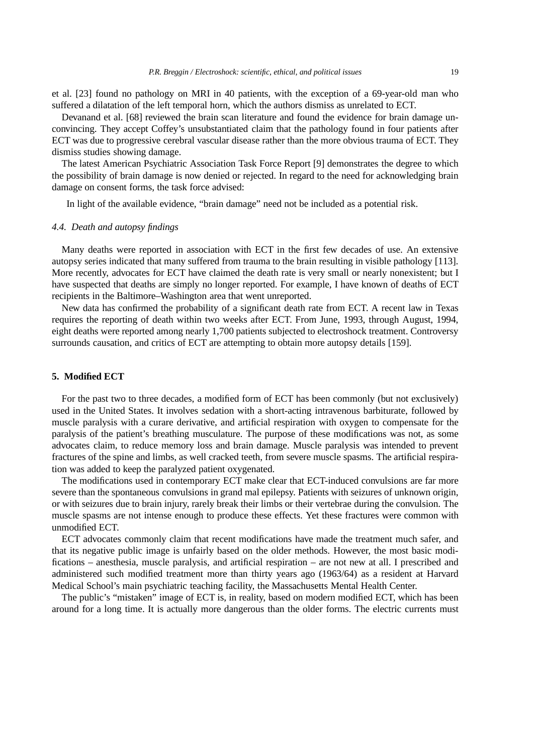et al. [23] found no pathology on MRI in 40 patients, with the exception of a 69-year-old man who suffered a dilatation of the left temporal horn, which the authors dismiss as unrelated to ECT.

Devanand et al. [68] reviewed the brain scan literature and found the evidence for brain damage unconvincing. They accept Coffey's unsubstantiated claim that the pathology found in four patients after ECT was due to progressive cerebral vascular disease rather than the more obvious trauma of ECT. They dismiss studies showing damage.

The latest American Psychiatric Association Task Force Report [9] demonstrates the degree to which the possibility of brain damage is now denied or rejected. In regard to the need for acknowledging brain damage on consent forms, the task force advised:

In light of the available evidence, "brain damage" need not be included as a potential risk.

## *4.4. Death and autopsy findings*

Many deaths were reported in association with ECT in the first few decades of use. An extensive autopsy series indicated that many suffered from trauma to the brain resulting in visible pathology [113]. More recently, advocates for ECT have claimed the death rate is very small or nearly nonexistent; but I have suspected that deaths are simply no longer reported. For example, I have known of deaths of ECT recipients in the Baltimore–Washington area that went unreported.

New data has confirmed the probability of a significant death rate from ECT. A recent law in Texas requires the reporting of death within two weeks after ECT. From June, 1993, through August, 1994, eight deaths were reported among nearly 1,700 patients subjected to electroshock treatment. Controversy surrounds causation, and critics of ECT are attempting to obtain more autopsy details [159].

# **5. Modified ECT**

For the past two to three decades, a modified form of ECT has been commonly (but not exclusively) used in the United States. It involves sedation with a short-acting intravenous barbiturate, followed by muscle paralysis with a curare derivative, and artificial respiration with oxygen to compensate for the paralysis of the patient's breathing musculature. The purpose of these modifications was not, as some advocates claim, to reduce memory loss and brain damage. Muscle paralysis was intended to prevent fractures of the spine and limbs, as well cracked teeth, from severe muscle spasms. The artificial respiration was added to keep the paralyzed patient oxygenated.

The modifications used in contemporary ECT make clear that ECT-induced convulsions are far more severe than the spontaneous convulsions in grand mal epilepsy. Patients with seizures of unknown origin, or with seizures due to brain injury, rarely break their limbs or their vertebrae during the convulsion. The muscle spasms are not intense enough to produce these effects. Yet these fractures were common with unmodified ECT.

ECT advocates commonly claim that recent modifications have made the treatment much safer, and that its negative public image is unfairly based on the older methods. However, the most basic modifications – anesthesia, muscle paralysis, and artificial respiration – are not new at all. I prescribed and administered such modified treatment more than thirty years ago (1963/64) as a resident at Harvard Medical School's main psychiatric teaching facility, the Massachusetts Mental Health Center.

The public's "mistaken" image of ECT is, in reality, based on modern modified ECT, which has been around for a long time. It is actually more dangerous than the older forms. The electric currents must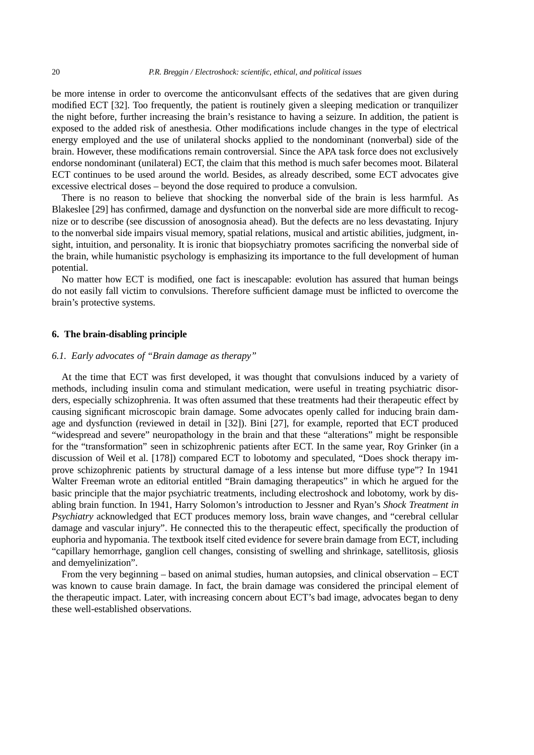be more intense in order to overcome the anticonvulsant effects of the sedatives that are given during modified ECT [32]. Too frequently, the patient is routinely given a sleeping medication or tranquilizer the night before, further increasing the brain's resistance to having a seizure. In addition, the patient is exposed to the added risk of anesthesia. Other modifications include changes in the type of electrical energy employed and the use of unilateral shocks applied to the nondominant (nonverbal) side of the brain. However, these modifications remain controversial. Since the APA task force does not exclusively endorse nondominant (unilateral) ECT, the claim that this method is much safer becomes moot. Bilateral ECT continues to be used around the world. Besides, as already described, some ECT advocates give excessive electrical doses – beyond the dose required to produce a convulsion.

There is no reason to believe that shocking the nonverbal side of the brain is less harmful. As Blakeslee [29] has confirmed, damage and dysfunction on the nonverbal side are more difficult to recognize or to describe (see discussion of anosognosia ahead). But the defects are no less devastating. Injury to the nonverbal side impairs visual memory, spatial relations, musical and artistic abilities, judgment, insight, intuition, and personality. It is ironic that biopsychiatry promotes sacrificing the nonverbal side of the brain, while humanistic psychology is emphasizing its importance to the full development of human potential.

No matter how ECT is modified, one fact is inescapable: evolution has assured that human beings do not easily fall victim to convulsions. Therefore sufficient damage must be inflicted to overcome the brain's protective systems.

## **6. The brain-disabling principle**

# *6.1. Early advocates of "Brain damage as therapy"*

At the time that ECT was first developed, it was thought that convulsions induced by a variety of methods, including insulin coma and stimulant medication, were useful in treating psychiatric disorders, especially schizophrenia. It was often assumed that these treatments had their therapeutic effect by causing significant microscopic brain damage. Some advocates openly called for inducing brain damage and dysfunction (reviewed in detail in [32]). Bini [27], for example, reported that ECT produced "widespread and severe" neuropathology in the brain and that these "alterations" might be responsible for the "transformation" seen in schizophrenic patients after ECT. In the same year, Roy Grinker (in a discussion of Weil et al. [178]) compared ECT to lobotomy and speculated, "Does shock therapy improve schizophrenic patients by structural damage of a less intense but more diffuse type"? In 1941 Walter Freeman wrote an editorial entitled "Brain damaging therapeutics" in which he argued for the basic principle that the major psychiatric treatments, including electroshock and lobotomy, work by disabling brain function. In 1941, Harry Solomon's introduction to Jessner and Ryan's *Shock Treatment in Psychiatry* acknowledged that ECT produces memory loss, brain wave changes, and "cerebral cellular damage and vascular injury". He connected this to the therapeutic effect, specifically the production of euphoria and hypomania. The textbook itself cited evidence for severe brain damage from ECT, including "capillary hemorrhage, ganglion cell changes, consisting of swelling and shrinkage, satellitosis, gliosis and demyelinization".

From the very beginning – based on animal studies, human autopsies, and clinical observation – ECT was known to cause brain damage. In fact, the brain damage was considered the principal element of the therapeutic impact. Later, with increasing concern about ECT's bad image, advocates began to deny these well-established observations.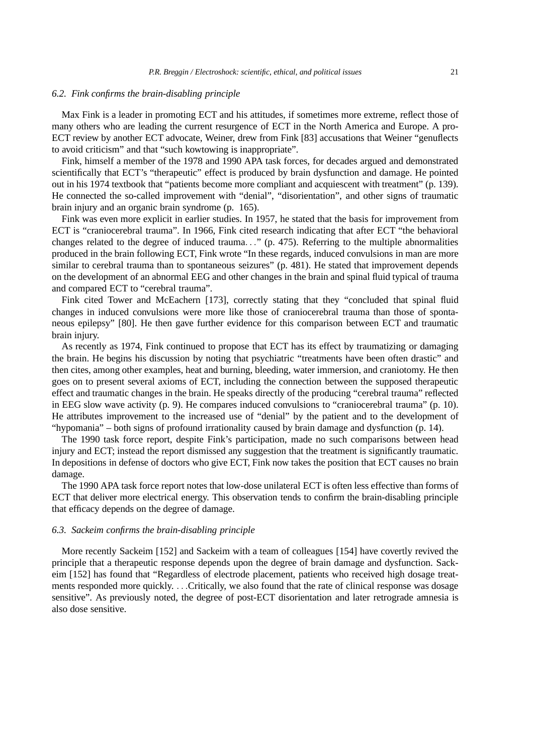## *6.2. Fink confirms the brain-disabling principle*

Max Fink is a leader in promoting ECT and his attitudes, if sometimes more extreme, reflect those of many others who are leading the current resurgence of ECT in the North America and Europe. A pro-ECT review by another ECT advocate, Weiner, drew from Fink [83] accusations that Weiner "genuflects to avoid criticism" and that "such kowtowing is inappropriate".

Fink, himself a member of the 1978 and 1990 APA task forces, for decades argued and demonstrated scientifically that ECT's "therapeutic" effect is produced by brain dysfunction and damage. He pointed out in his 1974 textbook that "patients become more compliant and acquiescent with treatment" (p. 139). He connected the so-called improvement with "denial", "disorientation", and other signs of traumatic brain injury and an organic brain syndrome (p. 165).

Fink was even more explicit in earlier studies. In 1957, he stated that the basis for improvement from ECT is "craniocerebral trauma". In 1966, Fink cited research indicating that after ECT "the behavioral changes related to the degree of induced trauma..." (p. 475). Referring to the multiple abnormalities produced in the brain following ECT, Fink wrote "In these regards, induced convulsions in man are more similar to cerebral trauma than to spontaneous seizures" (p. 481). He stated that improvement depends on the development of an abnormal EEG and other changes in the brain and spinal fluid typical of trauma and compared ECT to "cerebral trauma".

Fink cited Tower and McEachern [173], correctly stating that they "concluded that spinal fluid changes in induced convulsions were more like those of craniocerebral trauma than those of spontaneous epilepsy" [80]. He then gave further evidence for this comparison between ECT and traumatic brain injury.

As recently as 1974, Fink continued to propose that ECT has its effect by traumatizing or damaging the brain. He begins his discussion by noting that psychiatric "treatments have been often drastic" and then cites, among other examples, heat and burning, bleeding, water immersion, and craniotomy. He then goes on to present several axioms of ECT, including the connection between the supposed therapeutic effect and traumatic changes in the brain. He speaks directly of the producing "cerebral trauma" reflected in EEG slow wave activity (p. 9). He compares induced convulsions to "craniocerebral trauma" (p. 10). He attributes improvement to the increased use of "denial" by the patient and to the development of "hypomania" – both signs of profound irrationality caused by brain damage and dysfunction (p. 14).

The 1990 task force report, despite Fink's participation, made no such comparisons between head injury and ECT; instead the report dismissed any suggestion that the treatment is significantly traumatic. In depositions in defense of doctors who give ECT, Fink now takes the position that ECT causes no brain damage.

The 1990 APA task force report notes that low-dose unilateral ECT is often less effective than forms of ECT that deliver more electrical energy. This observation tends to confirm the brain-disabling principle that efficacy depends on the degree of damage.

## *6.3. Sackeim confirms the brain-disabling principle*

More recently Sackeim [152] and Sackeim with a team of colleagues [154] have covertly revived the principle that a therapeutic response depends upon the degree of brain damage and dysfunction. Sackeim [152] has found that "Regardless of electrode placement, patients who received high dosage treatments responded more quickly. ...Critically, we also found that the rate of clinical response was dosage sensitive". As previously noted, the degree of post-ECT disorientation and later retrograde amnesia is also dose sensitive.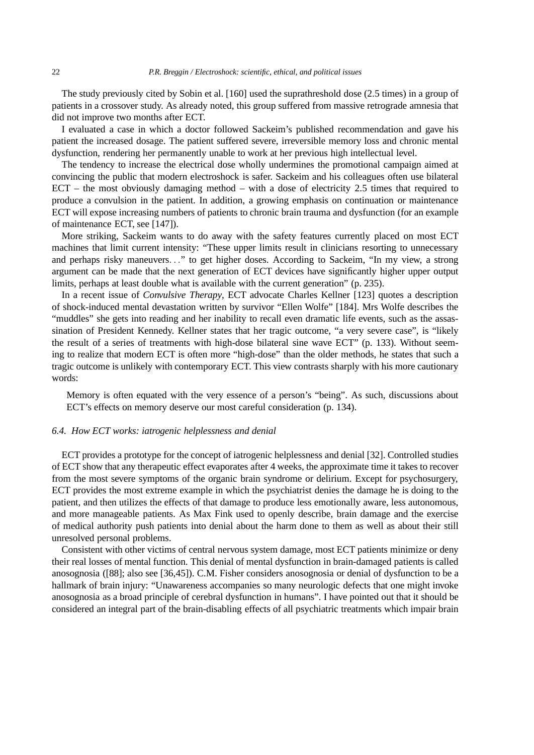The study previously cited by Sobin et al. [160] used the suprathreshold dose (2.5 times) in a group of patients in a crossover study. As already noted, this group suffered from massive retrograde amnesia that did not improve two months after ECT.

I evaluated a case in which a doctor followed Sackeim's published recommendation and gave his patient the increased dosage. The patient suffered severe, irreversible memory loss and chronic mental dysfunction, rendering her permanently unable to work at her previous high intellectual level.

The tendency to increase the electrical dose wholly undermines the promotional campaign aimed at convincing the public that modern electroshock is safer. Sackeim and his colleagues often use bilateral ECT – the most obviously damaging method – with a dose of electricity 2.5 times that required to produce a convulsion in the patient. In addition, a growing emphasis on continuation or maintenance ECT will expose increasing numbers of patients to chronic brain trauma and dysfunction (for an example of maintenance ECT, see [147]).

More striking, Sackeim wants to do away with the safety features currently placed on most ECT machines that limit current intensity: "These upper limits result in clinicians resorting to unnecessary and perhaps risky maneuvers..." to get higher doses. According to Sackeim, "In my view, a strong argument can be made that the next generation of ECT devices have significantly higher upper output limits, perhaps at least double what is available with the current generation" (p. 235).

In a recent issue of *Convulsive Therapy*, ECT advocate Charles Kellner [123] quotes a description of shock-induced mental devastation written by survivor "Ellen Wolfe" [184]. Mrs Wolfe describes the "muddles" she gets into reading and her inability to recall even dramatic life events, such as the assassination of President Kennedy. Kellner states that her tragic outcome, "a very severe case", is "likely the result of a series of treatments with high-dose bilateral sine wave ECT" (p. 133). Without seeming to realize that modern ECT is often more "high-dose" than the older methods, he states that such a tragic outcome is unlikely with contemporary ECT. This view contrasts sharply with his more cautionary words:

Memory is often equated with the very essence of a person's "being". As such, discussions about ECT's effects on memory deserve our most careful consideration (p. 134).

## *6.4. How ECT works: iatrogenic helplessness and denial*

ECT provides a prototype for the concept of iatrogenic helplessness and denial [32]. Controlled studies of ECT show that any therapeutic effect evaporates after 4 weeks, the approximate time it takes to recover from the most severe symptoms of the organic brain syndrome or delirium. Except for psychosurgery, ECT provides the most extreme example in which the psychiatrist denies the damage he is doing to the patient, and then utilizes the effects of that damage to produce less emotionally aware, less autonomous, and more manageable patients. As Max Fink used to openly describe, brain damage and the exercise of medical authority push patients into denial about the harm done to them as well as about their still unresolved personal problems.

Consistent with other victims of central nervous system damage, most ECT patients minimize or deny their real losses of mental function. This denial of mental dysfunction in brain-damaged patients is called anosognosia ([88]; also see [36,45]). C.M. Fisher considers anosognosia or denial of dysfunction to be a hallmark of brain injury: "Unawareness accompanies so many neurologic defects that one might invoke anosognosia as a broad principle of cerebral dysfunction in humans". I have pointed out that it should be considered an integral part of the brain-disabling effects of all psychiatric treatments which impair brain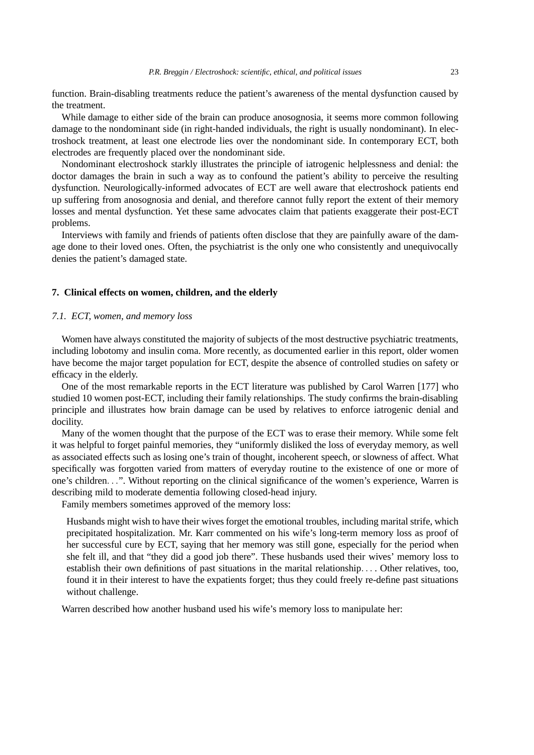function. Brain-disabling treatments reduce the patient's awareness of the mental dysfunction caused by the treatment.

While damage to either side of the brain can produce anosognosia, it seems more common following damage to the nondominant side (in right-handed individuals, the right is usually nondominant). In electroshock treatment, at least one electrode lies over the nondominant side. In contemporary ECT, both electrodes are frequently placed over the nondominant side.

Nondominant electroshock starkly illustrates the principle of iatrogenic helplessness and denial: the doctor damages the brain in such a way as to confound the patient's ability to perceive the resulting dysfunction. Neurologically-informed advocates of ECT are well aware that electroshock patients end up suffering from anosognosia and denial, and therefore cannot fully report the extent of their memory losses and mental dysfunction. Yet these same advocates claim that patients exaggerate their post-ECT problems.

Interviews with family and friends of patients often disclose that they are painfully aware of the damage done to their loved ones. Often, the psychiatrist is the only one who consistently and unequivocally denies the patient's damaged state.

## **7. Clinical effects on women, children, and the elderly**

## *7.1. ECT, women, and memory loss*

Women have always constituted the majority of subjects of the most destructive psychiatric treatments, including lobotomy and insulin coma. More recently, as documented earlier in this report, older women have become the major target population for ECT, despite the absence of controlled studies on safety or efficacy in the elderly.

One of the most remarkable reports in the ECT literature was published by Carol Warren [177] who studied 10 women post-ECT, including their family relationships. The study confirms the brain-disabling principle and illustrates how brain damage can be used by relatives to enforce iatrogenic denial and docility.

Many of the women thought that the purpose of the ECT was to erase their memory. While some felt it was helpful to forget painful memories, they "uniformly disliked the loss of everyday memory, as well as associated effects such as losing one's train of thought, incoherent speech, or slowness of affect. What specifically was forgotten varied from matters of everyday routine to the existence of one or more of one's children...". Without reporting on the clinical significance of the women's experience, Warren is describing mild to moderate dementia following closed-head injury.

Family members sometimes approved of the memory loss:

Husbands might wish to have their wives forget the emotional troubles, including marital strife, which precipitated hospitalization. Mr. Karr commented on his wife's long-term memory loss as proof of her successful cure by ECT, saying that her memory was still gone, especially for the period when she felt ill, and that "they did a good job there". These husbands used their wives' memory loss to establish their own definitions of past situations in the marital relationship... . Other relatives, too, found it in their interest to have the expatients forget; thus they could freely re-define past situations without challenge.

Warren described how another husband used his wife's memory loss to manipulate her: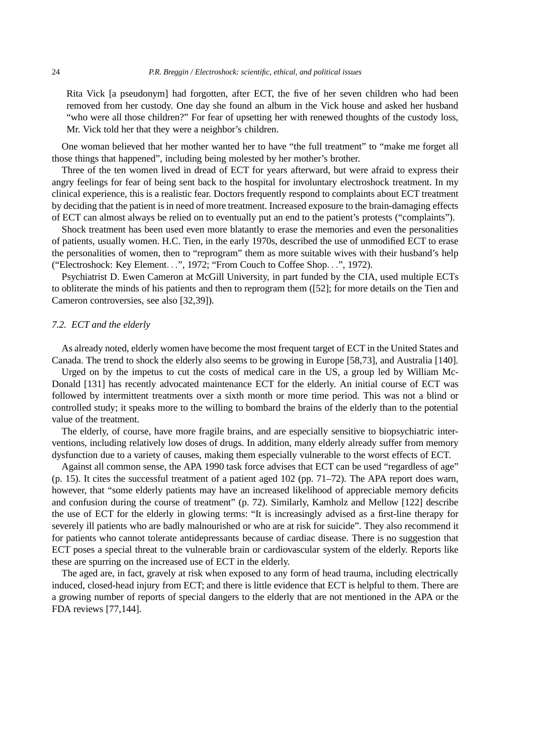Rita Vick [a pseudonym] had forgotten, after ECT, the five of her seven children who had been removed from her custody. One day she found an album in the Vick house and asked her husband "who were all those children?" For fear of upsetting her with renewed thoughts of the custody loss, Mr. Vick told her that they were a neighbor's children.

One woman believed that her mother wanted her to have "the full treatment" to "make me forget all those things that happened", including being molested by her mother's brother.

Three of the ten women lived in dread of ECT for years afterward, but were afraid to express their angry feelings for fear of being sent back to the hospital for involuntary electroshock treatment. In my clinical experience, this is a realistic fear. Doctors frequently respond to complaints about ECT treatment by deciding that the patient is in need of more treatment. Increased exposure to the brain-damaging effects of ECT can almost always be relied on to eventually put an end to the patient's protests ("complaints").

Shock treatment has been used even more blatantly to erase the memories and even the personalities of patients, usually women. H.C. Tien, in the early 1970s, described the use of unmodified ECT to erase the personalities of women, then to "reprogram" them as more suitable wives with their husband's help ("Electroshock: Key Element...", 1972; "From Couch to Coffee Shop...", 1972).

Psychiatrist D. Ewen Cameron at McGill University, in part funded by the CIA, used multiple ECTs to obliterate the minds of his patients and then to reprogram them ([52]; for more details on the Tien and Cameron controversies, see also [32,39]).

## *7.2. ECT and the elderly*

As already noted, elderly women have become the most frequent target of ECT in the United States and Canada. The trend to shock the elderly also seems to be growing in Europe [58,73], and Australia [140].

Urged on by the impetus to cut the costs of medical care in the US, a group led by William Mc-Donald [131] has recently advocated maintenance ECT for the elderly. An initial course of ECT was followed by intermittent treatments over a sixth month or more time period. This was not a blind or controlled study; it speaks more to the willing to bombard the brains of the elderly than to the potential value of the treatment.

The elderly, of course, have more fragile brains, and are especially sensitive to biopsychiatric interventions, including relatively low doses of drugs. In addition, many elderly already suffer from memory dysfunction due to a variety of causes, making them especially vulnerable to the worst effects of ECT.

Against all common sense, the APA 1990 task force advises that ECT can be used "regardless of age" (p. 15). It cites the successful treatment of a patient aged 102 (pp. 71–72). The APA report does warn, however, that "some elderly patients may have an increased likelihood of appreciable memory deficits and confusion during the course of treatment" (p. 72). Similarly, Kamholz and Mellow [122] describe the use of ECT for the elderly in glowing terms: "It is increasingly advised as a first-line therapy for severely ill patients who are badly malnourished or who are at risk for suicide". They also recommend it for patients who cannot tolerate antidepressants because of cardiac disease. There is no suggestion that ECT poses a special threat to the vulnerable brain or cardiovascular system of the elderly. Reports like these are spurring on the increased use of ECT in the elderly.

The aged are, in fact, gravely at risk when exposed to any form of head trauma, including electrically induced, closed-head injury from ECT; and there is little evidence that ECT is helpful to them. There are a growing number of reports of special dangers to the elderly that are not mentioned in the APA or the FDA reviews [77,144].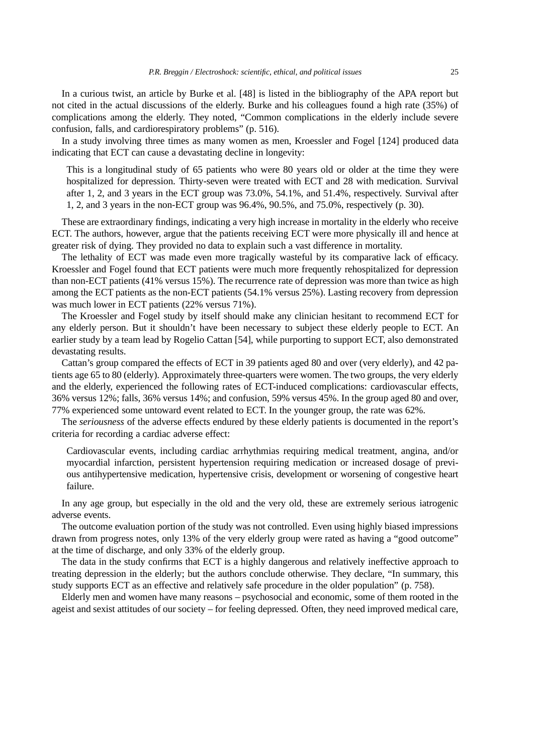In a curious twist, an article by Burke et al. [48] is listed in the bibliography of the APA report but not cited in the actual discussions of the elderly. Burke and his colleagues found a high rate (35%) of complications among the elderly. They noted, "Common complications in the elderly include severe confusion, falls, and cardiorespiratory problems" (p. 516).

In a study involving three times as many women as men, Kroessler and Fogel [124] produced data indicating that ECT can cause a devastating decline in longevity:

This is a longitudinal study of 65 patients who were 80 years old or older at the time they were hospitalized for depression. Thirty-seven were treated with ECT and 28 with medication. Survival after 1, 2, and 3 years in the ECT group was 73.0%, 54.1%, and 51.4%, respectively. Survival after 1, 2, and 3 years in the non-ECT group was 96.4%, 90.5%, and 75.0%, respectively (p. 30).

These are extraordinary findings, indicating a very high increase in mortality in the elderly who receive ECT. The authors, however, argue that the patients receiving ECT were more physically ill and hence at greater risk of dying. They provided no data to explain such a vast difference in mortality.

The lethality of ECT was made even more tragically wasteful by its comparative lack of efficacy. Kroessler and Fogel found that ECT patients were much more frequently rehospitalized for depression than non-ECT patients (41% versus 15%). The recurrence rate of depression was more than twice as high among the ECT patients as the non-ECT patients (54.1% versus 25%). Lasting recovery from depression was much lower in ECT patients (22% versus 71%).

The Kroessler and Fogel study by itself should make any clinician hesitant to recommend ECT for any elderly person. But it shouldn't have been necessary to subject these elderly people to ECT. An earlier study by a team lead by Rogelio Cattan [54], while purporting to support ECT, also demonstrated devastating results.

Cattan's group compared the effects of ECT in 39 patients aged 80 and over (very elderly), and 42 patients age 65 to 80 (elderly). Approximately three-quarters were women. The two groups, the very elderly and the elderly, experienced the following rates of ECT-induced complications: cardiovascular effects, 36% versus 12%; falls, 36% versus 14%; and confusion, 59% versus 45%. In the group aged 80 and over, 77% experienced some untoward event related to ECT. In the younger group, the rate was 62%.

The *seriousness* of the adverse effects endured by these elderly patients is documented in the report's criteria for recording a cardiac adverse effect:

Cardiovascular events, including cardiac arrhythmias requiring medical treatment, angina, and/or myocardial infarction, persistent hypertension requiring medication or increased dosage of previous antihypertensive medication, hypertensive crisis, development or worsening of congestive heart failure.

In any age group, but especially in the old and the very old, these are extremely serious iatrogenic adverse events.

The outcome evaluation portion of the study was not controlled. Even using highly biased impressions drawn from progress notes, only 13% of the very elderly group were rated as having a "good outcome" at the time of discharge, and only 33% of the elderly group.

The data in the study confirms that ECT is a highly dangerous and relatively ineffective approach to treating depression in the elderly; but the authors conclude otherwise. They declare, "In summary, this study supports ECT as an effective and relatively safe procedure in the older population" (p. 758).

Elderly men and women have many reasons – psychosocial and economic, some of them rooted in the ageist and sexist attitudes of our society – for feeling depressed. Often, they need improved medical care,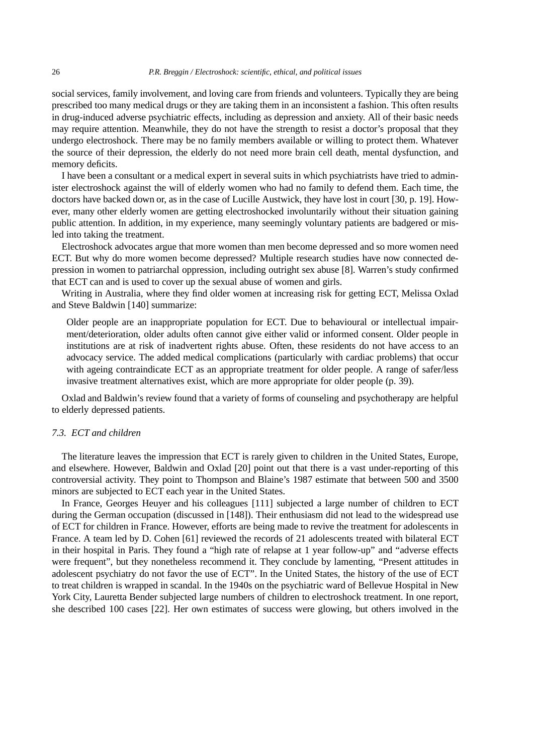social services, family involvement, and loving care from friends and volunteers. Typically they are being prescribed too many medical drugs or they are taking them in an inconsistent a fashion. This often results in drug-induced adverse psychiatric effects, including as depression and anxiety. All of their basic needs may require attention. Meanwhile, they do not have the strength to resist a doctor's proposal that they undergo electroshock. There may be no family members available or willing to protect them. Whatever the source of their depression, the elderly do not need more brain cell death, mental dysfunction, and memory deficits.

I have been a consultant or a medical expert in several suits in which psychiatrists have tried to administer electroshock against the will of elderly women who had no family to defend them. Each time, the doctors have backed down or, as in the case of Lucille Austwick, they have lost in court [30, p. 19]. However, many other elderly women are getting electroshocked involuntarily without their situation gaining public attention. In addition, in my experience, many seemingly voluntary patients are badgered or misled into taking the treatment.

Electroshock advocates argue that more women than men become depressed and so more women need ECT. But why do more women become depressed? Multiple research studies have now connected depression in women to patriarchal oppression, including outright sex abuse [8]. Warren's study confirmed that ECT can and is used to cover up the sexual abuse of women and girls.

Writing in Australia, where they find older women at increasing risk for getting ECT, Melissa Oxlad and Steve Baldwin [140] summarize:

Older people are an inappropriate population for ECT. Due to behavioural or intellectual impairment/deterioration, older adults often cannot give either valid or informed consent. Older people in institutions are at risk of inadvertent rights abuse. Often, these residents do not have access to an advocacy service. The added medical complications (particularly with cardiac problems) that occur with ageing contraindicate ECT as an appropriate treatment for older people. A range of safer/less invasive treatment alternatives exist, which are more appropriate for older people (p. 39).

Oxlad and Baldwin's review found that a variety of forms of counseling and psychotherapy are helpful to elderly depressed patients.

#### *7.3. ECT and children*

The literature leaves the impression that ECT is rarely given to children in the United States, Europe, and elsewhere. However, Baldwin and Oxlad [20] point out that there is a vast under-reporting of this controversial activity. They point to Thompson and Blaine's 1987 estimate that between 500 and 3500 minors are subjected to ECT each year in the United States.

In France, Georges Heuyer and his colleagues [111] subjected a large number of children to ECT during the German occupation (discussed in [148]). Their enthusiasm did not lead to the widespread use of ECT for children in France. However, efforts are being made to revive the treatment for adolescents in France. A team led by D. Cohen [61] reviewed the records of 21 adolescents treated with bilateral ECT in their hospital in Paris. They found a "high rate of relapse at 1 year follow-up" and "adverse effects were frequent", but they nonetheless recommend it. They conclude by lamenting, "Present attitudes in adolescent psychiatry do not favor the use of ECT". In the United States, the history of the use of ECT to treat children is wrapped in scandal. In the 1940s on the psychiatric ward of Bellevue Hospital in New York City, Lauretta Bender subjected large numbers of children to electroshock treatment. In one report, she described 100 cases [22]. Her own estimates of success were glowing, but others involved in the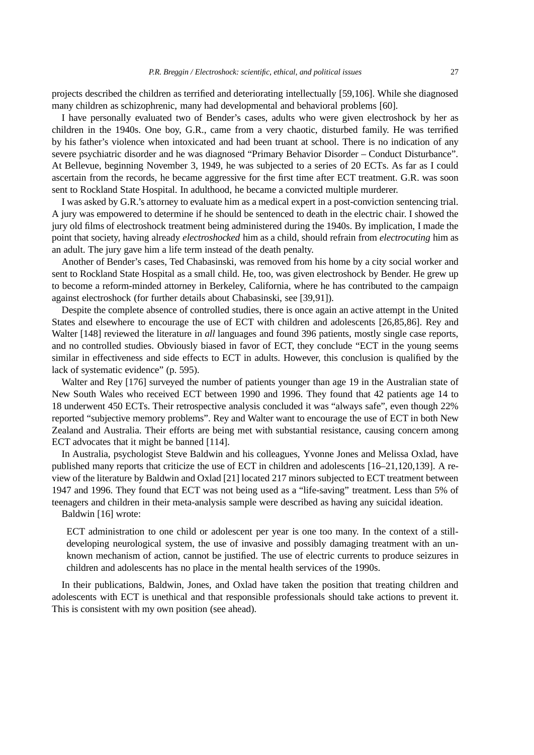projects described the children as terrified and deteriorating intellectually [59,106]. While she diagnosed many children as schizophrenic, many had developmental and behavioral problems [60].

I have personally evaluated two of Bender's cases, adults who were given electroshock by her as children in the 1940s. One boy, G.R., came from a very chaotic, disturbed family. He was terrified by his father's violence when intoxicated and had been truant at school. There is no indication of any severe psychiatric disorder and he was diagnosed "Primary Behavior Disorder – Conduct Disturbance". At Bellevue, beginning November 3, 1949, he was subjected to a series of 20 ECTs. As far as I could ascertain from the records, he became aggressive for the first time after ECT treatment. G.R. was soon sent to Rockland State Hospital. In adulthood, he became a convicted multiple murderer.

I was asked by G.R.'s attorney to evaluate him as a medical expert in a post-conviction sentencing trial. A jury was empowered to determine if he should be sentenced to death in the electric chair. I showed the jury old films of electroshock treatment being administered during the 1940s. By implication, I made the point that society, having already *electroshocked* him as a child, should refrain from *electrocuting* him as an adult. The jury gave him a life term instead of the death penalty.

Another of Bender's cases, Ted Chabasinski, was removed from his home by a city social worker and sent to Rockland State Hospital as a small child. He, too, was given electroshock by Bender. He grew up to become a reform-minded attorney in Berkeley, California, where he has contributed to the campaign against electroshock (for further details about Chabasinski, see [39,91]).

Despite the complete absence of controlled studies, there is once again an active attempt in the United States and elsewhere to encourage the use of ECT with children and adolescents [26,85,86]. Rey and Walter [148] reviewed the literature in *all* languages and found 396 patients, mostly single case reports, and no controlled studies. Obviously biased in favor of ECT, they conclude "ECT in the young seems similar in effectiveness and side effects to ECT in adults. However, this conclusion is qualified by the lack of systematic evidence" (p. 595).

Walter and Rey [176] surveyed the number of patients younger than age 19 in the Australian state of New South Wales who received ECT between 1990 and 1996. They found that 42 patients age 14 to 18 underwent 450 ECTs. Their retrospective analysis concluded it was "always safe", even though 22% reported "subjective memory problems". Rey and Walter want to encourage the use of ECT in both New Zealand and Australia. Their efforts are being met with substantial resistance, causing concern among ECT advocates that it might be banned [114].

In Australia, psychologist Steve Baldwin and his colleagues, Yvonne Jones and Melissa Oxlad, have published many reports that criticize the use of ECT in children and adolescents [16–21,120,139]. A review of the literature by Baldwin and Oxlad [21] located 217 minors subjected to ECT treatment between 1947 and 1996. They found that ECT was not being used as a "life-saving" treatment. Less than 5% of teenagers and children in their meta-analysis sample were described as having any suicidal ideation.

Baldwin [16] wrote:

ECT administration to one child or adolescent per year is one too many. In the context of a stilldeveloping neurological system, the use of invasive and possibly damaging treatment with an unknown mechanism of action, cannot be justified. The use of electric currents to produce seizures in children and adolescents has no place in the mental health services of the 1990s.

In their publications, Baldwin, Jones, and Oxlad have taken the position that treating children and adolescents with ECT is unethical and that responsible professionals should take actions to prevent it. This is consistent with my own position (see ahead).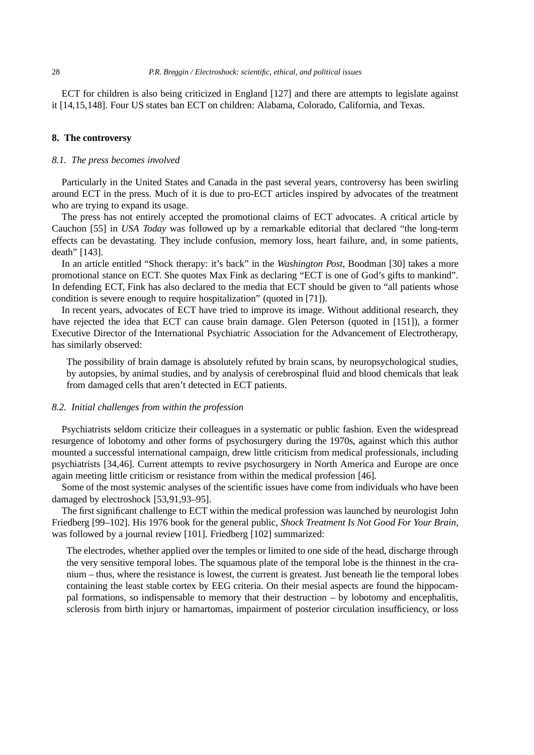ECT for children is also being criticized in England [127] and there are attempts to legislate against it [14,15,148]. Four US states ban ECT on children: Alabama, Colorado, California, and Texas.

### **8. The controversy**

## *8.1. The press becomes involved*

Particularly in the United States and Canada in the past several years, controversy has been swirling around ECT in the press. Much of it is due to pro-ECT articles inspired by advocates of the treatment who are trying to expand its usage.

The press has not entirely accepted the promotional claims of ECT advocates. A critical article by Cauchon [55] in *USA Today* was followed up by a remarkable editorial that declared "the long-term effects can be devastating. They include confusion, memory loss, heart failure, and, in some patients, death" [143].

In an article entitled "Shock therapy: it's back" in the *Washington Post*, Boodman [30] takes a more promotional stance on ECT. She quotes Max Fink as declaring "ECT is one of God's gifts to mankind". In defending ECT, Fink has also declared to the media that ECT should be given to "all patients whose condition is severe enough to require hospitalization" (quoted in [71]).

In recent years, advocates of ECT have tried to improve its image. Without additional research, they have rejected the idea that ECT can cause brain damage. Glen Peterson (quoted in [151]), a former Executive Director of the International Psychiatric Association for the Advancement of Electrotherapy, has similarly observed:

The possibility of brain damage is absolutely refuted by brain scans, by neuropsychological studies, by autopsies, by animal studies, and by analysis of cerebrospinal fluid and blood chemicals that leak from damaged cells that aren't detected in ECT patients.

#### *8.2. Initial challenges from within the profession*

Psychiatrists seldom criticize their colleagues in a systematic or public fashion. Even the widespread resurgence of lobotomy and other forms of psychosurgery during the 1970s, against which this author mounted a successful international campaign, drew little criticism from medical professionals, including psychiatrists [34,46]. Current attempts to revive psychosurgery in North America and Europe are once again meeting little criticism or resistance from within the medical profession [46].

Some of the most systemic analyses of the scientific issues have come from individuals who have been damaged by electroshock [53,91,93–95].

The first significant challenge to ECT within the medical profession was launched by neurologist John Friedberg [99–102]. His 1976 book for the general public, *Shock Treatment Is Not Good For Your Brain*, was followed by a journal review [101]. Friedberg [102] summarized:

The electrodes, whether applied over the temples or limited to one side of the head, discharge through the very sensitive temporal lobes. The squamous plate of the temporal lobe is the thinnest in the cranium – thus, where the resistance is lowest, the current is greatest. Just beneath lie the temporal lobes containing the least stable cortex by EEG criteria. On their mesial aspects are found the hippocampal formations, so indispensable to memory that their destruction – by lobotomy and encephalitis, sclerosis from birth injury or hamartomas, impairment of posterior circulation insufficiency, or loss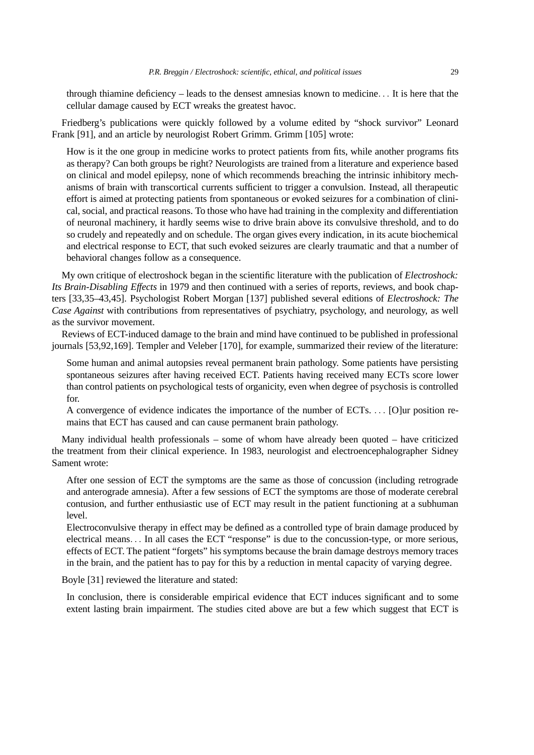through thiamine deficiency – leads to the densest amnesias known to medicine... It is here that the cellular damage caused by ECT wreaks the greatest havoc.

Friedberg's publications were quickly followed by a volume edited by "shock survivor" Leonard Frank [91], and an article by neurologist Robert Grimm. Grimm [105] wrote:

How is it the one group in medicine works to protect patients from fits, while another programs fits as therapy? Can both groups be right? Neurologists are trained from a literature and experience based on clinical and model epilepsy, none of which recommends breaching the intrinsic inhibitory mechanisms of brain with transcortical currents sufficient to trigger a convulsion. Instead, all therapeutic effort is aimed at protecting patients from spontaneous or evoked seizures for a combination of clinical, social, and practical reasons. To those who have had training in the complexity and differentiation of neuronal machinery, it hardly seems wise to drive brain above its convulsive threshold, and to do so crudely and repeatedly and on schedule. The organ gives every indication, in its acute biochemical and electrical response to ECT, that such evoked seizures are clearly traumatic and that a number of behavioral changes follow as a consequence.

My own critique of electroshock began in the scientific literature with the publication of *Electroshock: Its Brain-Disabling Effects* in 1979 and then continued with a series of reports, reviews, and book chapters [33,35–43,45]. Psychologist Robert Morgan [137] published several editions of *Electroshock: The Case Against* with contributions from representatives of psychiatry, psychology, and neurology, as well as the survivor movement.

Reviews of ECT-induced damage to the brain and mind have continued to be published in professional journals [53,92,169]. Templer and Veleber [170], for example, summarized their review of the literature:

Some human and animal autopsies reveal permanent brain pathology. Some patients have persisting spontaneous seizures after having received ECT. Patients having received many ECTs score lower than control patients on psychological tests of organicity, even when degree of psychosis is controlled for.

A convergence of evidence indicates the importance of the number of ECTs. ... [O]ur position remains that ECT has caused and can cause permanent brain pathology.

Many individual health professionals – some of whom have already been quoted – have criticized the treatment from their clinical experience. In 1983, neurologist and electroencephalographer Sidney Sament wrote:

After one session of ECT the symptoms are the same as those of concussion (including retrograde and anterograde amnesia). After a few sessions of ECT the symptoms are those of moderate cerebral contusion, and further enthusiastic use of ECT may result in the patient functioning at a subhuman level.

Electroconvulsive therapy in effect may be defined as a controlled type of brain damage produced by electrical means... In all cases the ECT "response" is due to the concussion-type, or more serious, effects of ECT. The patient "forgets" his symptoms because the brain damage destroys memory traces in the brain, and the patient has to pay for this by a reduction in mental capacity of varying degree.

Boyle [31] reviewed the literature and stated:

In conclusion, there is considerable empirical evidence that ECT induces significant and to some extent lasting brain impairment. The studies cited above are but a few which suggest that ECT is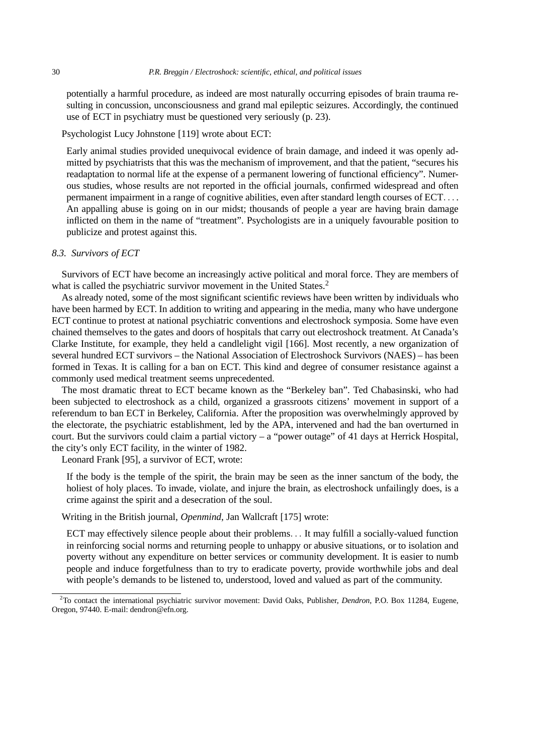potentially a harmful procedure, as indeed are most naturally occurring episodes of brain trauma resulting in concussion, unconsciousness and grand mal epileptic seizures. Accordingly, the continued use of ECT in psychiatry must be questioned very seriously (p. 23).

Psychologist Lucy Johnstone [119] wrote about ECT:

Early animal studies provided unequivocal evidence of brain damage, and indeed it was openly admitted by psychiatrists that this was the mechanism of improvement, and that the patient, "secures his readaptation to normal life at the expense of a permanent lowering of functional efficiency". Numerous studies, whose results are not reported in the official journals, confirmed widespread and often permanent impairment in a range of cognitive abilities, even after standard length courses of ECT... . An appalling abuse is going on in our midst; thousands of people a year are having brain damage inflicted on them in the name of "treatment". Psychologists are in a uniquely favourable position to publicize and protest against this.

# *8.3. Survivors of ECT*

Survivors of ECT have become an increasingly active political and moral force. They are members of what is called the psychiatric survivor movement in the United States.<sup>2</sup>

As already noted, some of the most significant scientific reviews have been written by individuals who have been harmed by ECT. In addition to writing and appearing in the media, many who have undergone ECT continue to protest at national psychiatric conventions and electroshock symposia. Some have even chained themselves to the gates and doors of hospitals that carry out electroshock treatment. At Canada's Clarke Institute, for example, they held a candlelight vigil [166]. Most recently, a new organization of several hundred ECT survivors – the National Association of Electroshock Survivors (NAES) – has been formed in Texas. It is calling for a ban on ECT. This kind and degree of consumer resistance against a commonly used medical treatment seems unprecedented.

The most dramatic threat to ECT became known as the "Berkeley ban". Ted Chabasinski, who had been subjected to electroshock as a child, organized a grassroots citizens' movement in support of a referendum to ban ECT in Berkeley, California. After the proposition was overwhelmingly approved by the electorate, the psychiatric establishment, led by the APA, intervened and had the ban overturned in court. But the survivors could claim a partial victory – a "power outage" of 41 days at Herrick Hospital, the city's only ECT facility, in the winter of 1982.

Leonard Frank [95], a survivor of ECT, wrote:

If the body is the temple of the spirit, the brain may be seen as the inner sanctum of the body, the holiest of holy places. To invade, violate, and injure the brain, as electroshock unfailingly does, is a crime against the spirit and a desecration of the soul.

Writing in the British journal, *Openmind*, Jan Wallcraft [175] wrote:

ECT may effectively silence people about their problems... It may fulfill a socially-valued function in reinforcing social norms and returning people to unhappy or abusive situations, or to isolation and poverty without any expenditure on better services or community development. It is easier to numb people and induce forgetfulness than to try to eradicate poverty, provide worthwhile jobs and deal with people's demands to be listened to, understood, loved and valued as part of the community.

<sup>2</sup> To contact the international psychiatric survivor movement: David Oaks, Publisher, *Dendron*, P.O. Box 11284, Eugene, Oregon, 97440. E-mail: dendron@efn.org.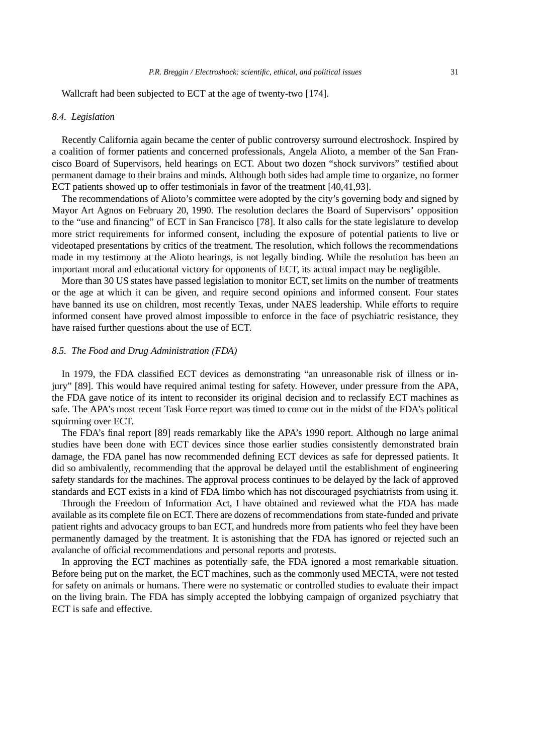Wallcraft had been subjected to ECT at the age of twenty-two [174].

## *8.4. Legislation*

Recently California again became the center of public controversy surround electroshock. Inspired by a coalition of former patients and concerned professionals, Angela Alioto, a member of the San Francisco Board of Supervisors, held hearings on ECT. About two dozen "shock survivors" testified about permanent damage to their brains and minds. Although both sides had ample time to organize, no former ECT patients showed up to offer testimonials in favor of the treatment [40,41,93].

The recommendations of Alioto's committee were adopted by the city's governing body and signed by Mayor Art Agnos on February 20, 1990. The resolution declares the Board of Supervisors' opposition to the "use and financing" of ECT in San Francisco [78]. It also calls for the state legislature to develop more strict requirements for informed consent, including the exposure of potential patients to live or videotaped presentations by critics of the treatment. The resolution, which follows the recommendations made in my testimony at the Alioto hearings, is not legally binding. While the resolution has been an important moral and educational victory for opponents of ECT, its actual impact may be negligible.

More than 30 US states have passed legislation to monitor ECT, set limits on the number of treatments or the age at which it can be given, and require second opinions and informed consent. Four states have banned its use on children, most recently Texas, under NAES leadership. While efforts to require informed consent have proved almost impossible to enforce in the face of psychiatric resistance, they have raised further questions about the use of ECT.

#### *8.5. The Food and Drug Administration (FDA)*

In 1979, the FDA classified ECT devices as demonstrating "an unreasonable risk of illness or injury" [89]. This would have required animal testing for safety. However, under pressure from the APA, the FDA gave notice of its intent to reconsider its original decision and to reclassify ECT machines as safe. The APA's most recent Task Force report was timed to come out in the midst of the FDA's political squirming over ECT.

The FDA's final report [89] reads remarkably like the APA's 1990 report. Although no large animal studies have been done with ECT devices since those earlier studies consistently demonstrated brain damage, the FDA panel has now recommended defining ECT devices as safe for depressed patients. It did so ambivalently, recommending that the approval be delayed until the establishment of engineering safety standards for the machines. The approval process continues to be delayed by the lack of approved standards and ECT exists in a kind of FDA limbo which has not discouraged psychiatrists from using it.

Through the Freedom of Information Act, I have obtained and reviewed what the FDA has made available as its complete file on ECT. There are dozens of recommendations from state-funded and private patient rights and advocacy groups to ban ECT, and hundreds more from patients who feel they have been permanently damaged by the treatment. It is astonishing that the FDA has ignored or rejected such an avalanche of official recommendations and personal reports and protests.

In approving the ECT machines as potentially safe, the FDA ignored a most remarkable situation. Before being put on the market, the ECT machines, such as the commonly used MECTA, were not tested for safety on animals or humans. There were no systematic or controlled studies to evaluate their impact on the living brain. The FDA has simply accepted the lobbying campaign of organized psychiatry that ECT is safe and effective.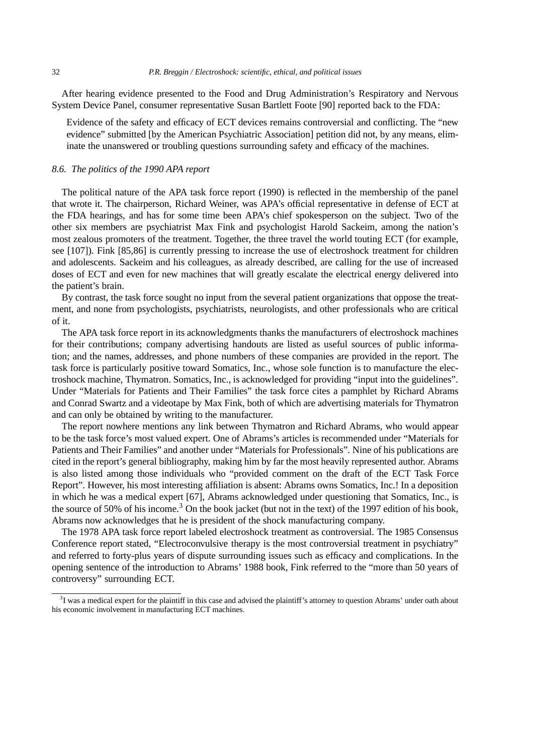After hearing evidence presented to the Food and Drug Administration's Respiratory and Nervous System Device Panel, consumer representative Susan Bartlett Foote [90] reported back to the FDA:

Evidence of the safety and efficacy of ECT devices remains controversial and conflicting. The "new evidence" submitted [by the American Psychiatric Association] petition did not, by any means, eliminate the unanswered or troubling questions surrounding safety and efficacy of the machines.

# *8.6. The politics of the 1990 APA report*

The political nature of the APA task force report (1990) is reflected in the membership of the panel that wrote it. The chairperson, Richard Weiner, was APA's official representative in defense of ECT at the FDA hearings, and has for some time been APA's chief spokesperson on the subject. Two of the other six members are psychiatrist Max Fink and psychologist Harold Sackeim, among the nation's most zealous promoters of the treatment. Together, the three travel the world touting ECT (for example, see [107]). Fink [85,86] is currently pressing to increase the use of electroshock treatment for children and adolescents. Sackeim and his colleagues, as already described, are calling for the use of increased doses of ECT and even for new machines that will greatly escalate the electrical energy delivered into the patient's brain.

By contrast, the task force sought no input from the several patient organizations that oppose the treatment, and none from psychologists, psychiatrists, neurologists, and other professionals who are critical of it.

The APA task force report in its acknowledgments thanks the manufacturers of electroshock machines for their contributions; company advertising handouts are listed as useful sources of public information; and the names, addresses, and phone numbers of these companies are provided in the report. The task force is particularly positive toward Somatics, Inc., whose sole function is to manufacture the electroshock machine, Thymatron. Somatics, Inc., is acknowledged for providing "input into the guidelines". Under "Materials for Patients and Their Families" the task force cites a pamphlet by Richard Abrams and Conrad Swartz and a videotape by Max Fink, both of which are advertising materials for Thymatron and can only be obtained by writing to the manufacturer.

The report nowhere mentions any link between Thymatron and Richard Abrams, who would appear to be the task force's most valued expert. One of Abrams's articles is recommended under "Materials for Patients and Their Families" and another under "Materials for Professionals". Nine of his publications are cited in the report's general bibliography, making him by far the most heavily represented author. Abrams is also listed among those individuals who "provided comment on the draft of the ECT Task Force Report". However, his most interesting affiliation is absent: Abrams owns Somatics, Inc.! In a deposition in which he was a medical expert [67], Abrams acknowledged under questioning that Somatics, Inc., is the source of 50% of his income.<sup>3</sup> On the book jacket (but not in the text) of the 1997 edition of his book, Abrams now acknowledges that he is president of the shock manufacturing company.

The 1978 APA task force report labeled electroshock treatment as controversial. The 1985 Consensus Conference report stated, "Electroconvulsive therapy is the most controversial treatment in psychiatry" and referred to forty-plus years of dispute surrounding issues such as efficacy and complications. In the opening sentence of the introduction to Abrams' 1988 book, Fink referred to the "more than 50 years of controversy" surrounding ECT.

<sup>&</sup>lt;sup>3</sup>I was a medical expert for the plaintiff in this case and advised the plaintiff's attorney to question Abrams' under oath about his economic involvement in manufacturing ECT machines.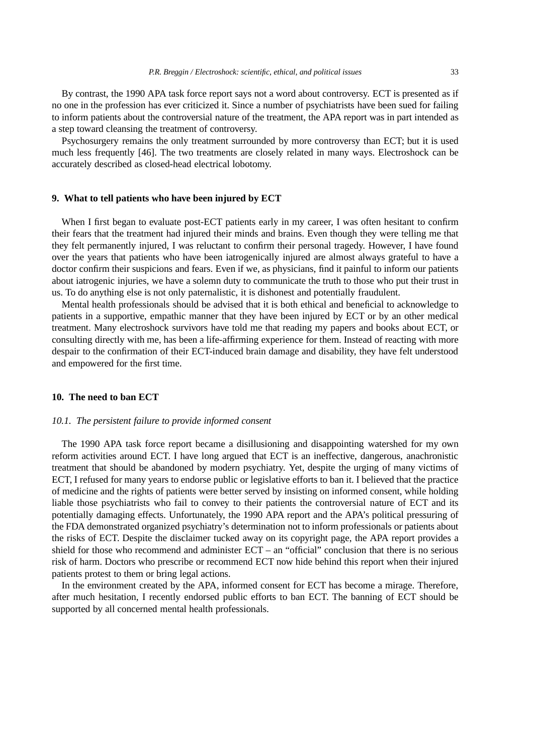By contrast, the 1990 APA task force report says not a word about controversy. ECT is presented as if no one in the profession has ever criticized it. Since a number of psychiatrists have been sued for failing to inform patients about the controversial nature of the treatment, the APA report was in part intended as a step toward cleansing the treatment of controversy.

Psychosurgery remains the only treatment surrounded by more controversy than ECT; but it is used much less frequently [46]. The two treatments are closely related in many ways. Electroshock can be accurately described as closed-head electrical lobotomy.

## **9. What to tell patients who have been injured by ECT**

When I first began to evaluate post-ECT patients early in my career, I was often hesitant to confirm their fears that the treatment had injured their minds and brains. Even though they were telling me that they felt permanently injured, I was reluctant to confirm their personal tragedy. However, I have found over the years that patients who have been iatrogenically injured are almost always grateful to have a doctor confirm their suspicions and fears. Even if we, as physicians, find it painful to inform our patients about iatrogenic injuries, we have a solemn duty to communicate the truth to those who put their trust in us. To do anything else is not only paternalistic, it is dishonest and potentially fraudulent.

Mental health professionals should be advised that it is both ethical and beneficial to acknowledge to patients in a supportive, empathic manner that they have been injured by ECT or by an other medical treatment. Many electroshock survivors have told me that reading my papers and books about ECT, or consulting directly with me, has been a life-affirming experience for them. Instead of reacting with more despair to the confirmation of their ECT-induced brain damage and disability, they have felt understood and empowered for the first time.

#### **10. The need to ban ECT**

#### *10.1. The persistent failure to provide informed consent*

The 1990 APA task force report became a disillusioning and disappointing watershed for my own reform activities around ECT. I have long argued that ECT is an ineffective, dangerous, anachronistic treatment that should be abandoned by modern psychiatry. Yet, despite the urging of many victims of ECT, I refused for many years to endorse public or legislative efforts to ban it. I believed that the practice of medicine and the rights of patients were better served by insisting on informed consent, while holding liable those psychiatrists who fail to convey to their patients the controversial nature of ECT and its potentially damaging effects. Unfortunately, the 1990 APA report and the APA's political pressuring of the FDA demonstrated organized psychiatry's determination not to inform professionals or patients about the risks of ECT. Despite the disclaimer tucked away on its copyright page, the APA report provides a shield for those who recommend and administer ECT – an "official" conclusion that there is no serious risk of harm. Doctors who prescribe or recommend ECT now hide behind this report when their injured patients protest to them or bring legal actions.

In the environment created by the APA, informed consent for ECT has become a mirage. Therefore, after much hesitation, I recently endorsed public efforts to ban ECT. The banning of ECT should be supported by all concerned mental health professionals.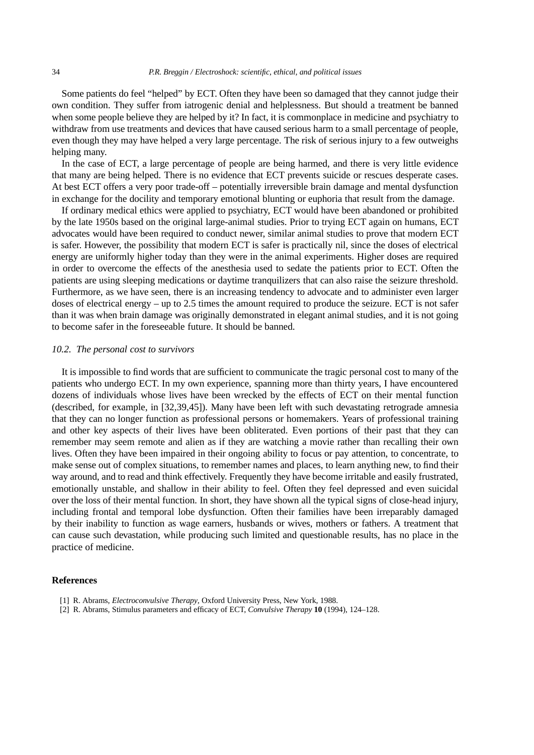Some patients do feel "helped" by ECT. Often they have been so damaged that they cannot judge their own condition. They suffer from iatrogenic denial and helplessness. But should a treatment be banned when some people believe they are helped by it? In fact, it is commonplace in medicine and psychiatry to withdraw from use treatments and devices that have caused serious harm to a small percentage of people, even though they may have helped a very large percentage. The risk of serious injury to a few outweighs helping many.

In the case of ECT, a large percentage of people are being harmed, and there is very little evidence that many are being helped. There is no evidence that ECT prevents suicide or rescues desperate cases. At best ECT offers a very poor trade-off – potentially irreversible brain damage and mental dysfunction in exchange for the docility and temporary emotional blunting or euphoria that result from the damage.

If ordinary medical ethics were applied to psychiatry, ECT would have been abandoned or prohibited by the late 1950s based on the original large-animal studies. Prior to trying ECT again on humans, ECT advocates would have been required to conduct newer, similar animal studies to prove that modern ECT is safer. However, the possibility that modern ECT is safer is practically nil, since the doses of electrical energy are uniformly higher today than they were in the animal experiments. Higher doses are required in order to overcome the effects of the anesthesia used to sedate the patients prior to ECT. Often the patients are using sleeping medications or daytime tranquilizers that can also raise the seizure threshold. Furthermore, as we have seen, there is an increasing tendency to advocate and to administer even larger doses of electrical energy – up to 2.5 times the amount required to produce the seizure. ECT is not safer than it was when brain damage was originally demonstrated in elegant animal studies, and it is not going to become safer in the foreseeable future. It should be banned.

#### *10.2. The personal cost to survivors*

It is impossible to find words that are sufficient to communicate the tragic personal cost to many of the patients who undergo ECT. In my own experience, spanning more than thirty years, I have encountered dozens of individuals whose lives have been wrecked by the effects of ECT on their mental function (described, for example, in [32,39,45]). Many have been left with such devastating retrograde amnesia that they can no longer function as professional persons or homemakers. Years of professional training and other key aspects of their lives have been obliterated. Even portions of their past that they can remember may seem remote and alien as if they are watching a movie rather than recalling their own lives. Often they have been impaired in their ongoing ability to focus or pay attention, to concentrate, to make sense out of complex situations, to remember names and places, to learn anything new, to find their way around, and to read and think effectively. Frequently they have become irritable and easily frustrated, emotionally unstable, and shallow in their ability to feel. Often they feel depressed and even suicidal over the loss of their mental function. In short, they have shown all the typical signs of close-head injury, including frontal and temporal lobe dysfunction. Often their families have been irreparably damaged by their inability to function as wage earners, husbands or wives, mothers or fathers. A treatment that can cause such devastation, while producing such limited and questionable results, has no place in the practice of medicine.

#### **References**

- [1] R. Abrams, *Electroconvulsive Therapy*, Oxford University Press, New York, 1988.
- [2] R. Abrams, Stimulus parameters and efficacy of ECT, *Convulsive Therapy* **10** (1994), 124–128.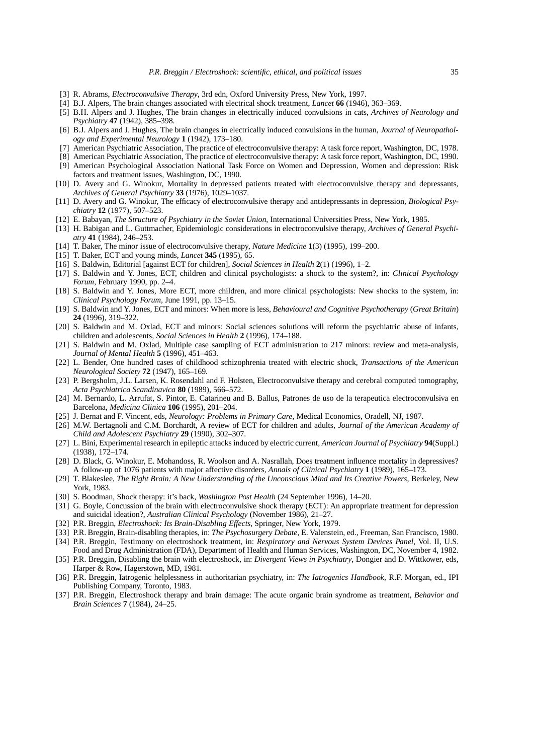- [3] R. Abrams, *Electroconvulsive Therapy*, 3rd edn, Oxford University Press, New York, 1997.
- [4] B.J. Alpers, The brain changes associated with electrical shock treatment, *Lancet* **66** (1946), 363–369.
- [5] B.H. Alpers and J. Hughes, The brain changes in electrically induced convulsions in cats, *Archives of Neurology and Psychiatry* **47** (1942), 385–398.
- [6] B.J. Alpers and J. Hughes, The brain changes in electrically induced convulsions in the human, *Journal of Neuropathology and Experimental Neurology* **1** (1942), 173–180.
- [7] American Psychiatric Association, The practice of electroconvulsive therapy: A task force report, Washington, DC, 1978.
- [8] American Psychiatric Association, The practice of electroconvulsive therapy: A task force report, Washington, DC, 1990.
- [9] American Psychological Association National Task Force on Women and Depression, Women and depression: Risk factors and treatment issues, Washington, DC, 1990.
- [10] D. Avery and G. Winokur, Mortality in depressed patients treated with electroconvulsive therapy and depressants, *Archives of General Psychiatry* **33** (1976), 1029–1037.
- [11] D. Avery and G. Winokur, The efficacy of electroconvulsive therapy and antidepressants in depression, *Biological Psychiatry* **12** (1977), 507–523.
- [12] E. Babayan, *The Structure of Psychiatry in the Soviet Union*, International Universities Press, New York, 1985.
- [13] H. Babigan and L. Guttmacher, Epidemiologic considerations in electroconvulsive therapy, *Archives of General Psychiatry* **41** (1984), 246–253.
- [14] T. Baker, The minor issue of electroconvulsive therapy, *Nature Medicine* **1**(3) (1995), 199–200.
- [15] T. Baker, ECT and young minds, *Lancet* **345** (1995), 65.
- [16] S. Baldwin, Editorial [against ECT for children], *Social Sciences in Health* **2**(1) (1996), 1–2.
- [17] S. Baldwin and Y. Jones, ECT, children and clinical psychologists: a shock to the system?, in: *Clinical Psychology Forum*, February 1990, pp. 2–4.
- [18] S. Baldwin and Y. Jones, More ECT, more children, and more clinical psychologists: New shocks to the system, in: *Clinical Psychology Forum*, June 1991, pp. 13–15.
- [19] S. Baldwin and Y. Jones, ECT and minors: When more is less, *Behavioural and Cognitive Psychotherapy* (*Great Britain*) **24** (1996), 319–322.
- [20] S. Baldwin and M. Oxlad, ECT and minors: Social sciences solutions will reform the psychiatric abuse of infants, children and adolescents, *Social Sciences in Health* **2** (1996), 174–188.
- [21] S. Baldwin and M. Oxlad, Multiple case sampling of ECT administration to 217 minors: review and meta-analysis, *Journal of Mental Health* **5** (1996), 451–463.
- [22] L. Bender, One hundred cases of childhood schizophrenia treated with electric shock, *Transactions of the American Neurological Society* **72** (1947), 165–169.
- [23] P. Bergsholm, J.L. Larsen, K. Rosendahl and F. Holsten, Electroconvulsive therapy and cerebral computed tomography, *Acta Psychiatrica Scandinavica* **80** (1989), 566–572.
- [24] M. Bernardo, L. Arrufat, S. Pintor, E. Catarineu and B. Ballus, Patrones de uso de la terapeutica electroconvulsiva en Barcelona, *Medicina Clinica* **106** (1995), 201–204.
- [25] J. Bernat and F. Vincent, eds, *Neurology: Problems in Primary Care*, Medical Economics, Oradell, NJ, 1987.
- [26] M.W. Bertagnoli and C.M. Borchardt, A review of ECT for children and adults, *Journal of the American Academy of Child and Adolescent Psychiatry* **29** (1990), 302–307.
- [27] L. Bini, Experimental research in epileptic attacks induced by electric current, *American Journal of Psychiatry* **94**(Suppl.) (1938), 172–174.
- [28] D. Black, G. Winokur, E. Mohandoss, R. Woolson and A. Nasrallah, Does treatment influence mortality in depressives? A follow-up of 1076 patients with major affective disorders, *Annals of Clinical Psychiatry* **1** (1989), 165–173.
- [29] T. Blakeslee, *The Right Brain: A New Understanding of the Unconscious Mind and Its Creative Powers*, Berkeley, New York, 1983.
- [30] S. Boodman, Shock therapy: it's back, *Washington Post Health* (24 September 1996), 14–20.
- [31] G. Boyle, Concussion of the brain with electroconvulsive shock therapy (ECT): An appropriate treatment for depression and suicidal ideation?, *Australian Clinical Psychology* (November 1986), 21–27.
- [32] P.R. Breggin, *Electroshock: Its Brain-Disabling Effects*, Springer, New York, 1979.
- [33] P.R. Breggin, Brain-disabling therapies, in: *The Psychosurgery Debate*, E. Valenstein, ed., Freeman, San Francisco, 1980.
- [34] P.R. Breggin, Testimony on electroshock treatment, in: *Respiratory and Nervous System Devices Panel*, Vol. II, U.S. Food and Drug Administration (FDA), Department of Health and Human Services, Washington, DC, November 4, 1982.
- [35] P.R. Breggin, Disabling the brain with electroshock, in: *Divergent Views in Psychiatry*, Dongier and D. Wittkower, eds, Harper & Row, Hagerstown, MD, 1981.
- [36] P.R. Breggin, Iatrogenic helplessness in authoritarian psychiatry, in: *The Iatrogenics Handbook*, R.F. Morgan, ed., IPI Publishing Company, Toronto, 1983.
- [37] P.R. Breggin, Electroshock therapy and brain damage: The acute organic brain syndrome as treatment, *Behavior and Brain Sciences* **7** (1984), 24–25.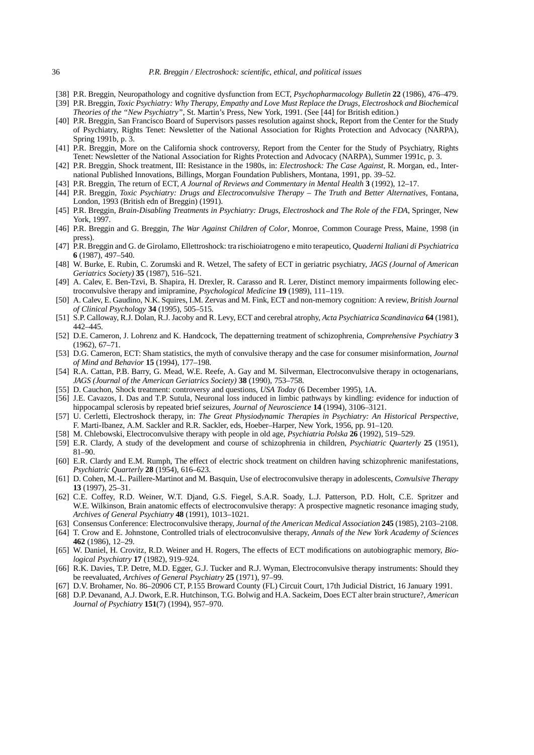- [38] P.R. Breggin, Neuropathology and cognitive dysfunction from ECT, *Psychopharmacology Bulletin* **22** (1986), 476–479.
- [39] P.R. Breggin, *Toxic Psychiatry: Why Therapy, Empathy and Love Must Replace the Drugs, Electroshock and Biochemical Theories of the "New Psychiatry"*, St. Martin's Press, New York, 1991. (See [44] for British edition.)
- [40] P.R. Breggin, San Francisco Board of Supervisors passes resolution against shock, Report from the Center for the Study of Psychiatry, Rights Tenet: Newsletter of the National Association for Rights Protection and Advocacy (NARPA), Spring 1991b, p. 3.
- [41] P.R. Breggin, More on the California shock controversy, Report from the Center for the Study of Psychiatry, Rights Tenet: Newsletter of the National Association for Rights Protection and Advocacy (NARPA), Summer 1991c, p. 3.
- [42] P.R. Breggin, Shock treatment, III: Resistance in the 1980s, in: *Electroshock: The Case Against*, R. Morgan, ed., International Published Innovations, Billings, Morgan Foundation Publishers, Montana, 1991, pp. 39–52.
- [43] P.R. Breggin, The return of ECT, *A Journal of Reviews and Commentary in Mental Health* **3** (1992), 12–17.
- [44] P.R. Breggin, *Toxic Psychiatry: Drugs and Electroconvulsive Therapy The Truth and Better Alternatives*, Fontana, London, 1993 (British edn of Breggin) (1991).
- [45] P.R. Breggin, *Brain-Disabling Treatments in Psychiatry: Drugs, Electroshock and The Role of the FDA*, Springer, New York, 1997.
- [46] P.R. Breggin and G. Breggin, *The War Against Children of Color*, Monroe, Common Courage Press, Maine, 1998 (in press).
- [47] P.R. Breggin and G. de Girolamo, Ellettroshock: tra rischioiatrogeno e mito terapeutico, *Quaderni Italiani di Psychiatrica* **6** (1987), 497–540.
- [48] W. Burke, E. Rubin, C. Zorumski and R. Wetzel, The safety of ECT in geriatric psychiatry, *JAGS (Journal of American Geriatrics Society)* **35** (1987), 516–521.
- [49] A. Calev, E. Ben-Tzvi, B. Shapira, H. Drexler, R. Carasso and R. Lerer, Distinct memory impairments following electroconvulsive therapy and imipramine, *Psychological Medicine* **19** (1989), 111–119.
- [50] A. Calev, E. Gaudino, N.K. Squires, I.M. Zervas and M. Fink, ECT and non-memory cognition: A review, *British Journal of Clinical Psychology* **34** (1995), 505–515.
- [51] S.P. Calloway, R.J. Dolan, R.J. Jacoby and R. Levy, ECT and cerebral atrophy, *Acta Psychiatrica Scandinavica* **64** (1981), 442–445.
- [52] D.E. Cameron, J. Lohrenz and K. Handcock, The depatterning treatment of schizophrenia, *Comprehensive Psychiatry* **3** (1962), 67–71.
- [53] D.G. Cameron, ECT: Sham statistics, the myth of convulsive therapy and the case for consumer misinformation, *Journal of Mind and Behavior* **15** (1994), 177–198.
- [54] R.A. Cattan, P.B. Barry, G. Mead, W.E. Reefe, A. Gay and M. Silverman, Electroconvulsive therapy in octogenarians, *JAGS (Journal of the American Geriatrics Society)* **38** (1990), 753–758.
- [55] D. Cauchon, Shock treatment: controversy and questions, *USA Today* (6 December 1995), 1A.
- [56] J.E. Cavazos, I. Das and T.P. Sutula, Neuronal loss induced in limbic pathways by kindling: evidence for induction of hippocampal sclerosis by repeated brief seizures, *Journal of Neuroscience* **14** (1994), 3106–3121.
- [57] U. Cerletti, Electroshock therapy, in: *The Great Physiodynamic Therapies in Psychiatry: An Historical Perspective*, F. Marti-Ibanez, A.M. Sackler and R.R. Sackler, eds, Hoeber–Harper, New York, 1956, pp. 91–120.
- [58] M. Chlebowski, Electroconvulsive therapy with people in old age, *Psychiatria Polska* **26** (1992), 519–529.
- [59] E.R. Clardy, A study of the development and course of schizophrenia in children, *Psychiatric Quarterly* **25** (1951), 81–90.
- [60] E.R. Clardy and E.M. Rumph, The effect of electric shock treatment on children having schizophrenic manifestations, *Psychiatric Quarterly* **28** (1954), 616–623.
- [61] D. Cohen, M.-L. Paillere-Martinot and M. Basquin, Use of electroconvulsive therapy in adolescents, *Convulsive Therapy* **13** (1997), 25–31.
- [62] C.E. Coffey, R.D. Weiner, W.T. Djand, G.S. Fiegel, S.A.R. Soady, L.J. Patterson, P.D. Holt, C.E. Spritzer and W.E. Wilkinson, Brain anatomic effects of electroconvulsive therapy: A prospective magnetic resonance imaging study, *Archives of General Psychiatry* **48** (1991), 1013–1021.
- [63] Consensus Conference: Electroconvulsive therapy, *Journal of the American Medical Association* **245** (1985), 2103–2108.
- [64] T. Crow and E. Johnstone, Controlled trials of electroconvulsive therapy, *Annals of the New York Academy of Sciences* **462** (1986), 12–29.
- [65] W. Daniel, H. Crovitz, R.D. Weiner and H. Rogers, The effects of ECT modifications on autobiographic memory, *Biological Psychiatry* **17** (1982), 919–924.
- [66] R.K. Davies, T.P. Detre, M.D. Egger, G.J. Tucker and R.J. Wyman, Electroconvulsive therapy instruments: Should they be reevaluated, *Archives of General Psychiatry* **25** (1971), 97–99.
- [67] D.V. Brohamer, No. 86–20906 CT, P.155 Broward County (FL) Circuit Court, 17th Judicial District, 16 January 1991.
- [68] D.P. Devanand, A.J. Dwork, E.R. Hutchinson, T.G. Bolwig and H.A. Sackeim, Does ECT alter brain structure?, *American Journal of Psychiatry* **151**(7) (1994), 957–970.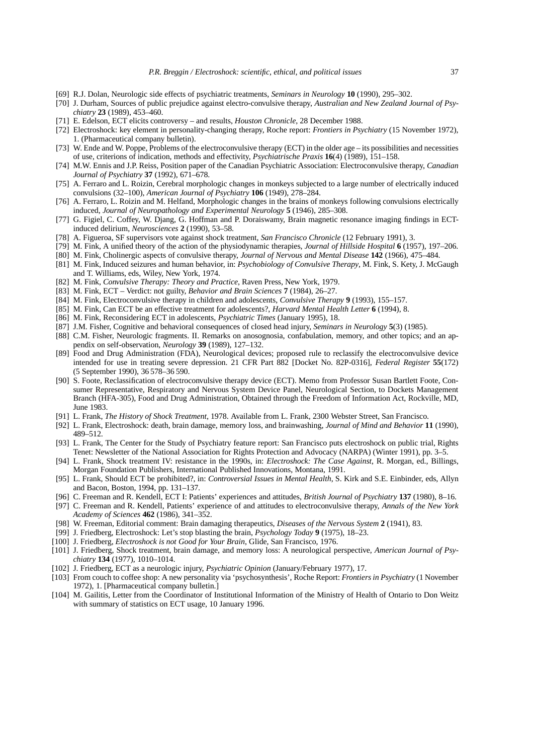- [69] R.J. Dolan, Neurologic side effects of psychiatric treatments, *Seminars in Neurology* **10** (1990), 295–302.
- [70] J. Durham, Sources of public prejudice against electro-convulsive therapy, *Australian and New Zealand Journal of Psychiatry* **23** (1989), 453–460.
- [71] E. Edelson, ECT elicits controversy and results, *Houston Chronicle*, 28 December 1988.
- [72] Electroshock: key element in personality-changing therapy, Roche report: *Frontiers in Psychiatry* (15 November 1972), 1. (Pharmaceutical company bulletin).
- [73] W. Ende and W. Poppe, Problems of the electroconvulsive therapy (ECT) in the older age its possibilities and necessities of use, criterions of indication, methods and effectivity, *Psychiatrische Praxis* **16**(4) (1989), 151–158.
- [74] M.W. Ennis and J.P. Reiss, Position paper of the Canadian Psychiatric Association: Electroconvulsive therapy, *Canadian Journal of Psychiatry* **37** (1992), 671–678.
- [75] A. Ferraro and L. Roizin, Cerebral morphologic changes in monkeys subjected to a large number of electrically induced convulsions (32–100), *American Journal of Psychiatry* **106** (1949), 278–284.
- [76] A. Ferraro, L. Roizin and M. Helfand, Morphologic changes in the brains of monkeys following convulsions electrically induced, *Journal of Neuropathology and Experimental Neurology* **5** (1946), 285–308.
- [77] G. Figiel, C. Coffey, W. Djang, G. Hoffman and P. Doraiswamy, Brain magnetic resonance imaging findings in ECTinduced delirium, *Neurosciences* **2** (1990), 53–58.
- [78] A. Figueroa, SF supervisors vote against shock treatment, *San Francisco Chronicle* (12 February 1991), 3.
- [79] M. Fink, A unified theory of the action of the physiodynamic therapies, *Journal of Hillside Hospital* **6** (1957), 197–206. [80] M. Fink, Cholinergic aspects of convulsive therapy, *Journal of Nervous and Mental Disease* **142** (1966), 475–484.
- [81] M. Fink, Induced seizures and human behavior, in: *Psychobiology of Convulsive Therapy*, M. Fink, S. Kety, J. McGaugh and T. Williams, eds, Wiley, New York, 1974.
- [82] M. Fink, *Convulsive Therapy: Theory and Practice*, Raven Press, New York, 1979.
- [83] M. Fink, ECT Verdict: not guilty, *Behavior and Brain Sciences* **7** (1984), 26–27.
- [84] M. Fink, Electroconvulsive therapy in children and adolescents, *Convulsive Therapy* **9** (1993), 155–157.
- [85] M. Fink, Can ECT be an effective treatment for adolescents?, *Harvard Mental Health Letter* **6** (1994), 8.
- [86] M. Fink, Reconsidering ECT in adolescents, *Psychiatric Times* (January 1995), 18.
- [87] J.M. Fisher, Cognitive and behavioral consequences of closed head injury, *Seminars in Neurology* **5**(3) (1985).
- [88] C.M. Fisher, Neurologic fragments. II. Remarks on anosognosia, confabulation, memory, and other topics; and an appendix on self-observation, *Neurology* **39** (1989), 127–132.
- [89] Food and Drug Administration (FDA), Neurological devices; proposed rule to reclassify the electroconvulsive device intended for use in treating severe depression. 21 CFR Part 882 [Docket No. 82P-0316], *Federal Register* **55**(172) (5 September 1990), 36 578–36 590.
- [90] S. Foote, Reclassification of electroconvulsive therapy device (ECT). Memo from Professor Susan Bartlett Foote, Consumer Representative, Respiratory and Nervous System Device Panel, Neurological Section, to Dockets Management Branch (HFA-305), Food and Drug Administration, Obtained through the Freedom of Information Act, Rockville, MD, June 1983.
- [91] L. Frank, *The History of Shock Treatment*, 1978. Available from L. Frank, 2300 Webster Street, San Francisco.
- [92] L. Frank, Electroshock: death, brain damage, memory loss, and brainwashing, *Journal of Mind and Behavior* **11** (1990), 489–512.
- [93] L. Frank, The Center for the Study of Psychiatry feature report: San Francisco puts electroshock on public trial, Rights Tenet: Newsletter of the National Association for Rights Protection and Advocacy (NARPA) (Winter 1991), pp. 3–5.
- [94] L. Frank, Shock treatment IV: resistance in the 1990s, in: *Electroshock: The Case Against*, R. Morgan, ed., Billings, Morgan Foundation Publishers, International Published Innovations, Montana, 1991.
- [95] L. Frank, Should ECT be prohibited?, in: *Controversial Issues in Mental Health*, S. Kirk and S.E. Einbinder, eds, Allyn and Bacon, Boston, 1994, pp. 131–137.
- [96] C. Freeman and R. Kendell, ECT I: Patients' experiences and attitudes, *British Journal of Psychiatry* **137** (1980), 8–16.
- [97] C. Freeman and R. Kendell, Patients' experience of and attitudes to electroconvulsive therapy, *Annals of the New York Academy of Sciences* **462** (1986), 341–352.
- [98] W. Freeman, Editorial comment: Brain damaging therapeutics, *Diseases of the Nervous System* **2** (1941), 83.
- [99] J. Friedberg, Electroshock: Let's stop blasting the brain, *Psychology Today* **9** (1975), 18–23.
- [100] J. Friedberg, *Electroshock is not Good for Your Brain*, Glide, San Francisco, 1976.
- [101] J. Friedberg, Shock treatment, brain damage, and memory loss: A neurological perspective, *American Journal of Psychiatry* **134** (1977), 1010–1014.
- [102] J. Friedberg, ECT as a neurologic injury, *Psychiatric Opinion* (January/February 1977), 17.
- [103] From couch to coffee shop: A new personality via 'psychosynthesis', Roche Report: *Frontiers in Psychiatry* (1 November 1972), 1. [Pharmaceutical company bulletin.]
- [104] M. Gailitis, Letter from the Coordinator of Institutional Information of the Ministry of Health of Ontario to Don Weitz with summary of statistics on ECT usage, 10 January 1996.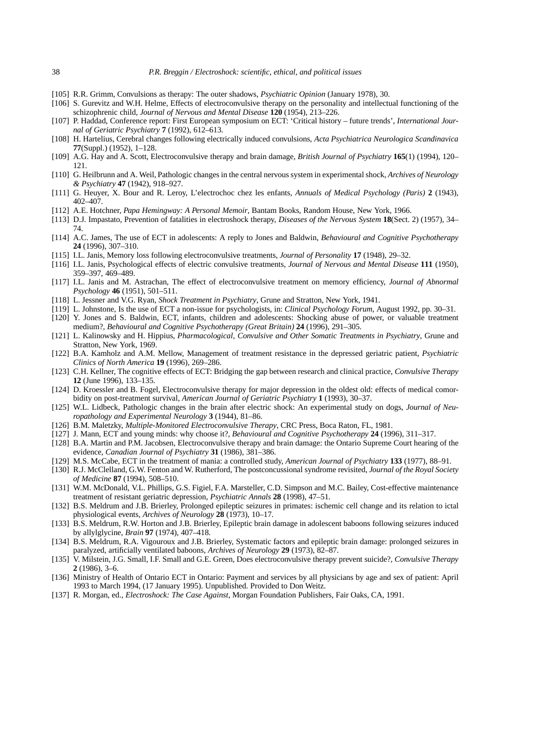- [105] R.R. Grimm, Convulsions as therapy: The outer shadows, *Psychiatric Opinion* (January 1978), 30.
- [106] S. Gurevitz and W.H. Helme, Effects of electroconvulsive therapy on the personality and intellectual functioning of the schizophrenic child, *Journal of Nervous and Mental Disease* **120** (1954), 213–226.
- [107] P. Haddad, Conference report: First European symposium on ECT: 'Critical history future trends', *International Journal of Geriatric Psychiatry* **7** (1992), 612–613.
- [108] H. Hartelius, Cerebral changes following electrically induced convulsions, *Acta Psychiatrica Neurologica Scandinavica* **77**(Suppl.) (1952), 1–128.
- [109] A.G. Hay and A. Scott, Electroconvulsive therapy and brain damage, *British Journal of Psychiatry* **165**(1) (1994), 120– 121.
- [110] G. Heilbrunn and A. Weil, Pathologic changes in the central nervous system in experimental shock, *Archives of Neurology & Psychiatry* **47** (1942), 918–927.
- [111] G. Heuyer, X. Bour and R. Leroy, L'electrochoc chez les enfants, *Annuals of Medical Psychology (Paris)* **2** (1943), 402–407.
- [112] A.E. Hotchner, *Papa Hemingway: A Personal Memoir*, Bantam Books, Random House, New York, 1966.
- [113] D.J. Impastato, Prevention of fatalities in electroshock therapy, *Diseases of the Nervous System* **18**(Sect. 2) (1957), 34– 74.
- [114] A.C. James, The use of ECT in adolescents: A reply to Jones and Baldwin, *Behavioural and Cognitive Psychotherapy* **24** (1996), 307–310.
- [115] I.L. Janis, Memory loss following electroconvulsive treatments, *Journal of Personality* **17** (1948), 29–32.
- [116] I.L. Janis, Psychological effects of electric convulsive treatments, *Journal of Nervous and Mental Disease* **111** (1950), 359–397, 469–489.
- [117] I.L. Janis and M. Astrachan, The effect of electroconvulsive treatment on memory efficiency, *Journal of Abnormal Psychology* **46** (1951), 501–511.
- [118] L. Jessner and V.G. Ryan, *Shock Treatment in Psychiatry*, Grune and Stratton, New York, 1941.
- [119] L. Johnstone, Is the use of ECT a non-issue for psychologists, in: *Clinical Psychology Forum*, August 1992, pp. 30–31. [120] Y. Jones and S. Baldwin, ECT, infants, children and adolescents: Shocking abuse of power, or valuable treatment medium?, *Behavioural and Cognitive Psychotherapy (Great Britain)* **24** (1996), 291–305.
- [121] L. Kalinowsky and H. Hippius, *Pharmacological, Convulsive and Other Somatic Treatments in Psychiatry*, Grune and Stratton, New York, 1969.
- [122] B.A. Kamholz and A.M. Mellow, Management of treatment resistance in the depressed geriatric patient, *Psychiatric Clinics of North America* **19** (1996), 269–286.
- [123] C.H. Kellner, The cognitive effects of ECT: Bridging the gap between research and clinical practice, *Convulsive Therapy* **12** (June 1996), 133–135.
- [124] D. Kroessler and B. Fogel, Electroconvulsive therapy for major depression in the oldest old: effects of medical comorbidity on post-treatment survival, *American Journal of Geriatric Psychiatry* **1** (1993), 30–37.
- [125] W.L. Lidbeck, Pathologic changes in the brain after electric shock: An experimental study on dogs, *Journal of Neuropathology and Experimental Neurology* **3** (1944), 81–86.
- [126] B.M. Maletzky, *Multiple-Monitored Electroconvulsive Therapy*, CRC Press, Boca Raton, FL, 1981.
- [127] J. Mann, ECT and young minds: why choose it?, *Behavioural and Cognitive Psychotherapy* **24** (1996), 311–317.
- [128] B.A. Martin and P.M. Jacobsen, Electroconvulsive therapy and brain damage: the Ontario Supreme Court hearing of the evidence, *Canadian Journal of Psychiatry* **31** (1986), 381–386.
- [129] M.S. McCabe, ECT in the treatment of mania: a controlled study, *American Journal of Psychiatry* **133** (1977), 88–91.
- [130] R.J. McClelland, G.W. Fenton and W. Rutherford, The postconcussional syndrome revisited, *Journal of the Royal Society of Medicine* **87** (1994), 508–510.
- [131] W.M. McDonald, V.L. Phillips, G.S. Figiel, F.A. Marsteller, C.D. Simpson and M.C. Bailey, Cost-effective maintenance treatment of resistant geriatric depression, *Psychiatric Annals* **28** (1998), 47–51.
- [132] B.S. Meldrum and J.B. Brierley, Prolonged epileptic seizures in primates: ischemic cell change and its relation to ictal physiological events, *Archives of Neurology* **28** (1973), 10–17.
- [133] B.S. Meldrum, R.W. Horton and J.B. Brierley, Epileptic brain damage in adolescent baboons following seizures induced by allylglycine, *Brain* **97** (1974), 407–418.
- [134] B.S. Meldrum, R.A. Vigouroux and J.B. Brierley, Systematic factors and epileptic brain damage: prolonged seizures in paralyzed, artificially ventilated baboons, *Archives of Neurology* **29** (1973), 82–87.
- [135] V. Milstein, J.G. Small, I.F. Small and G.E. Green, Does electroconvulsive therapy prevent suicide?, *Convulsive Therapy* **2** (1986), 3–6.
- [136] Ministry of Health of Ontario ECT in Ontario: Payment and services by all physicians by age and sex of patient: April 1993 to March 1994, (17 January 1995). Unpublished. Provided to Don Weitz.
- [137] R. Morgan, ed., *Electroshock: The Case Against*, Morgan Foundation Publishers, Fair Oaks, CA, 1991.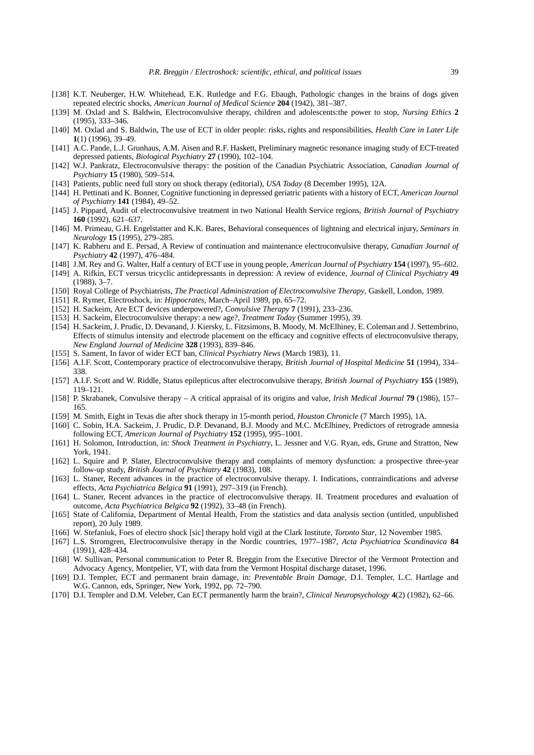- [138] K.T. Neuberger, H.W. Whitehead, E.K. Rutledge and F.G. Ebaugh, Pathologic changes in the brains of dogs given repeated electric shocks, *American Journal of Medical Science* **204** (1942), 381–387.
- [139] M. Oxlad and S. Baldwin, Electroconvulsive therapy, children and adolescents:the power to stop, *Nursing Ethics* **2** (1995), 333–346.
- [140] M. Oxlad and S. Baldwin, The use of ECT in older people: risks, rights and responsibilities, *Health Care in Later Life* **1**(1) (1996), 39–49.
- [141] A.C. Pande, L.J. Grunhaus, A.M. Aisen and R.F. Haskett, Preliminary magnetic resonance imaging study of ECT-treated depressed patients, *Biological Psychiatry* **27** (1990), 102–104.
- [142] W.J. Pankratz, Electroconvulsive therapy: the position of the Canadian Psychiatric Association, *Canadian Journal of Psychiatry* **15** (1980), 509–514.
- [143] Patients, public need full story on shock therapy (editorial), *USA Today* (8 December 1995), 12A.
- [144] H. Pettinati and K. Bonner, Cognitive functioning in depressed geriatric patients with a history of ECT, *American Journal of Psychiatry* **141** (1984), 49–52.
- [145] J. Pippard, Audit of electroconvulsive treatment in two National Health Service regions, *British Journal of Psychiatry* **160** (1992), 621–637.
- [146] M. Primeau, G.H. Engelstatter and K.K. Bares, Behavioral consequences of lightning and electrical injury, *Seminars in Neurology* **15** (1995), 279–285.
- [147] K. Rabheru and E. Persad, A Review of continuation and maintenance electroconvulsive therapy, *Canadian Journal of Psychiatry* **42** (1997), 476–484.
- [148] J.M. Rey and G. Walter, Half a century of ECT use in young people, *American Journal of Psychiatry* **154** (1997), 95–602.
- [149] A. Rifkin, ECT versus tricyclic antidepressants in depression: A review of evidence, *Journal of Clinical Psychiatry* **49** (1988), 3–7.
- [150] Royal College of Psychiatrists, *The Practical Administration of Electroconvulsive Therapy*, Gaskell, London, 1989.
- [151] R. Rymer, Electroshock, in: *Hippocrates*, March–April 1989, pp. 65–72.
- [152] H. Sackeim, Are ECT devices underpowered?, *Convulsive Therapy* **7** (1991), 233–236.
- [153] H. Sackeim, Electroconvulsive therapy: a new age?, *Treatment Today* (Summer 1995), 39.
- [154] H. Sackeim, J. Prudic, D. Devanand, J. Kiersky, L. Fitzsimons, B. Moody, M. McElhiney, E. Coleman and J. Settembrino, Effects of stimulus intensity and electrode placement on the efficacy and cognitive effects of electroconvulsive therapy, *New England Journal of Medicine* **328** (1993), 839–846.
- [155] S. Sament, In favor of wider ECT ban, *Clinical Psychiatry News* (March 1983), 11.
- [156] A.I.F. Scott, Contemporary practice of electroconvulsive therapy, *British Journal of Hospital Medicine* **51** (1994), 334– 338.
- [157] A.I.F. Scott and W. Riddle, Status epilepticus after electroconvulsive therapy, *British Journal of Psychiatry* **155** (1989), 119–121.
- [158] P. Skrabanek, Convulsive therapy A critical appraisal of its origins and value, *Irish Medical Journal* **79** (1986), 157– 165.
- [159] M. Smith, Eight in Texas die after shock therapy in 15-month period, *Houston Chronicle* (7 March 1995), 1A.
- [160] C. Sobin, H.A. Sackeim, J. Prudic, D.P. Devanand, B.J. Moody and M.C. McElhiney, Predictors of retrograde amnesia following ECT, *American Journal of Psychiatry* **152** (1995), 995–1001.
- [161] H. Solomon, Introduction, in: *Shock Treatment in Psychiatry*, L. Jessner and V.G. Ryan, eds, Grune and Stratton, New York, 1941.
- [162] L. Squire and P. Slater, Electroconvulsive therapy and complaints of memory dysfunction: a prospective three-year follow-up study, *British Journal of Psychiatry* **42** (1983), 108.
- [163] L. Staner, Recent advances in the practice of electroconvulsive therapy. I. Indications, contraindications and adverse effects, *Acta Psychiatrica Belgica* **91** (1991), 297–319 (in French).
- [164] L. Staner, Recent advances in the practice of electroconvulsive therapy. II. Treatment procedures and evaluation of outcome, *Acta Psychiatrica Belgica* **92** (1992), 33–48 (in French).
- [165] State of California, Department of Mental Health, From the statistics and data analysis section (untitled, unpublished report), 20 July 1989.
- [166] W. Stefaniuk, Foes of electro shock [sic] therapy hold vigil at the Clark Institute, *Toronto Star*, 12 November 1985.
- [167] L.S. Stromgren, Electroconvulsive therapy in the Nordic countries, 1977–1987, *Acta Psychiatrica Scandinavica* **84** (1991), 428–434.
- [168] W. Sullivan, Personal communication to Peter R. Breggin from the Executive Director of the Vermont Protection and Advocacy Agency, Montpelier, VT, with data from the Vermont Hospital discharge dataset, 1996.
- [169] D.I. Templer, ECT and permanent brain damage, in: *Preventable Brain Damage*, D.I. Templer, L.C. Hartlage and W.G. Cannon, eds, Springer, New York, 1992, pp. 72–790.
- [170] D.I. Templer and D.M. Veleber, Can ECT permanently harm the brain?, *Clinical Neuropsychology* **4**(2) (1982), 62–66.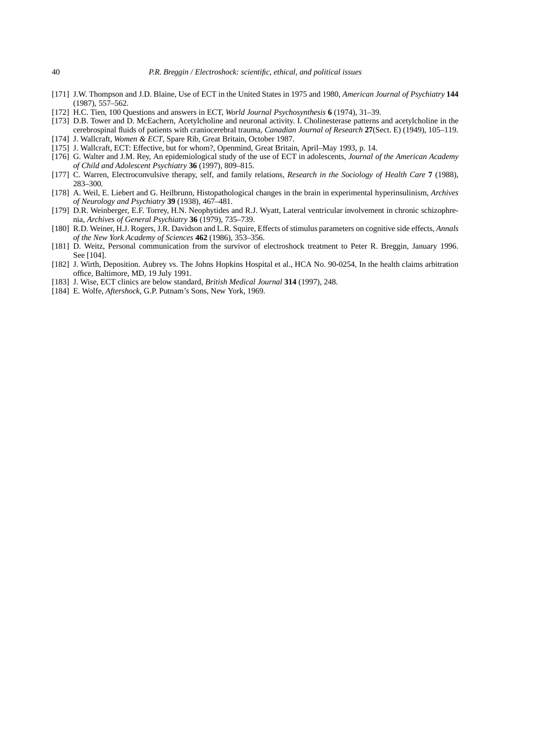- [171] J.W. Thompson and J.D. Blaine, Use of ECT in the United States in 1975 and 1980, *American Journal of Psychiatry* **144**  $(1987)$ , 557–562.
- [172] H.C. Tien, 100 Questions and answers in ECT, *World Journal Psychosynthesis* **6** (1974), 31–39.
- [173] D.B. Tower and D. McEachern, Acetylcholine and neuronal activity. I. Cholinesterase patterns and acetylcholine in the cerebrospinal fluids of patients with craniocerebral trauma, *Canadian Journal of Research* **27**(Sect. E) (1949), 105–119.
- [174] J. Wallcraft, *Women & ECT*, Spare Rib, Great Britain, October 1987.
- [175] J. Wallcraft, ECT: Effective, but for whom?, Openmind, Great Britain, April–May 1993, p. 14.
- [176] G. Walter and J.M. Rey, An epidemiological study of the use of ECT in adolescents, *Journal of the American Academy of Child and Adolescent Psychiatry* **36** (1997), 809–815.
- [177] C. Warren, Electroconvulsive therapy, self, and family relations, *Research in the Sociology of Health Care* **7** (1988), 283–300.
- [178] A. Weil, E. Liebert and G. Heilbrunn, Histopathological changes in the brain in experimental hyperinsulinism, *Archives of Neurology and Psychiatry* **39** (1938), 467–481.
- [179] D.R. Weinberger, E.F. Torrey, H.N. Neophytides and R.J. Wyatt, Lateral ventricular involvement in chronic schizophrenia, *Archives of General Psychiatry* **36** (1979), 735–739.
- [180] R.D. Weiner, H.J. Rogers, J.R. Davidson and L.R. Squire, Effects of stimulus parameters on cognitive side effects, *Annals of the New York Academy of Sciences* **462** (1986), 353–356.
- [181] D. Weitz, Personal communication from the survivor of electroshock treatment to Peter R. Breggin, January 1996. See [104].
- [182] J. Wirth, Deposition. Aubrey vs. The Johns Hopkins Hospital et al., HCA No. 90-0254, In the health claims arbitration office, Baltimore, MD, 19 July 1991.
- [183] J. Wise, ECT clinics are below standard, *British Medical Journal* **314** (1997), 248.
- [184] E. Wolfe, *Aftershock*, G.P. Putnam's Sons, New York, 1969.